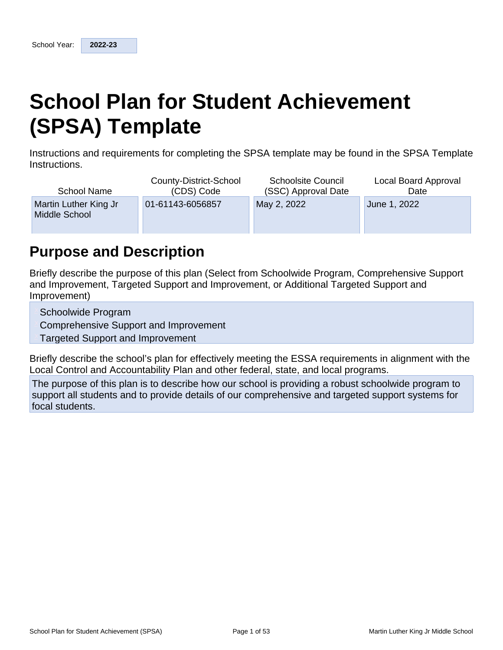# **School Plan for Student Achievement (SPSA) Template**

Instructions and requirements for completing the SPSA template may be found in the SPSA Template Instructions.

| <b>School Name</b>                     | County-District-School | <b>Schoolsite Council</b> | Local Board Approval |
|----------------------------------------|------------------------|---------------------------|----------------------|
|                                        | (CDS) Code             | (SSC) Approval Date       | Date                 |
| Martin Luther King Jr<br>Middle School | 01-61143-6056857       | May 2, 2022               | June 1, 2022         |

## **Purpose and Description**

Briefly describe the purpose of this plan (Select from Schoolwide Program, Comprehensive Support and Improvement, Targeted Support and Improvement, or Additional Targeted Support and Improvement)

Schoolwide Program

Comprehensive Support and Improvement

**Targeted Support and Improvement** 

Briefly describe the school's plan for effectively meeting the ESSA requirements in alignment with the Local Control and Accountability Plan and other federal, state, and local programs.

The purpose of this plan is to describe how our school is providing a robust schoolwide program to support all students and to provide details of our comprehensive and targeted support systems for focal students.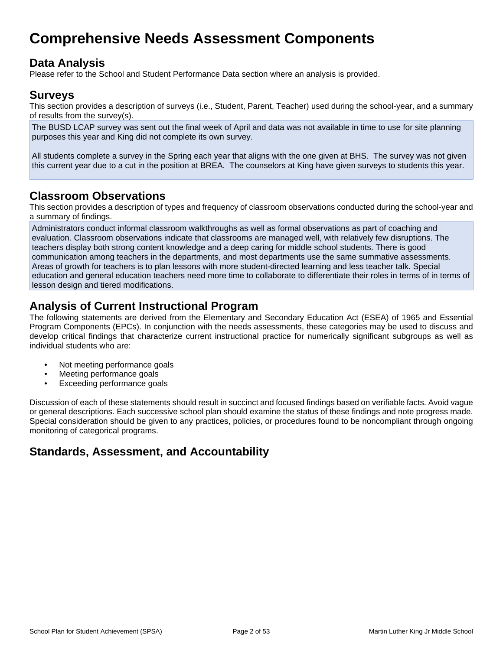## **Comprehensive Needs Assessment Components**

## **Data Analysis**

Please refer to the School and Student Performance Data section where an analysis is provided.

### **Surveys**

This section provides a description of surveys (i.e., Student, Parent, Teacher) used during the school-year, and a summary of results from the survey(s).

The BUSD LCAP survey was sent out the final week of April and data was not available in time to use for site planning purposes this year and King did not complete its own survey.

All students complete a survey in the Spring each year that aligns with the one given at BHS. The survey was not given this current year due to a cut in the position at BREA. The counselors at King have given surveys to students this year.

### **Classroom Observations**

This section provides a description of types and frequency of classroom observations conducted during the school-year and a summary of findings.

Administrators conduct informal classroom walkthroughs as well as formal observations as part of coaching and evaluation. Classroom observations indicate that classrooms are managed well, with relatively few disruptions. The teachers display both strong content knowledge and a deep caring for middle school students. There is good communication among teachers in the departments, and most departments use the same summative assessments. Areas of growth for teachers is to plan lessons with more student-directed learning and less teacher talk. Special education and general education teachers need more time to collaborate to differentiate their roles in terms of in terms of lesson design and tiered modifications.

## **Analysis of Current Instructional Program**

The following statements are derived from the Elementary and Secondary Education Act (ESEA) of 1965 and Essential Program Components (EPCs). In conjunction with the needs assessments, these categories may be used to discuss and develop critical findings that characterize current instructional practice for numerically significant subgroups as well as individual students who are:

- Not meeting performance goals
- Meeting performance goals
- Exceeding performance goals

Discussion of each of these statements should result in succinct and focused findings based on verifiable facts. Avoid vague or general descriptions. Each successive school plan should examine the status of these findings and note progress made. Special consideration should be given to any practices, policies, or procedures found to be noncompliant through ongoing monitoring of categorical programs.

## **Standards, Assessment, and Accountability**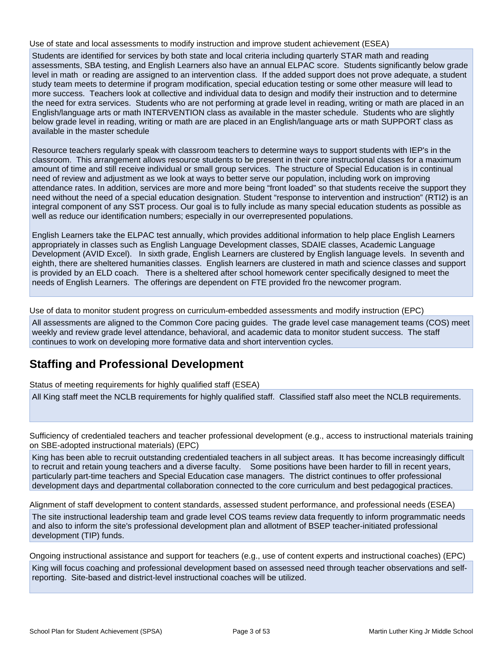Use of state and local assessments to modify instruction and improve student achievement (ESEA)

Students are identified for services by both state and local criteria including quarterly STAR math and reading assessments, SBA testing, and English Learners also have an annual ELPAC score. Students significantly below grade level in math or reading are assigned to an intervention class. If the added support does not prove adequate, a student study team meets to determine if program modification, special education testing or some other measure will lead to more success. Teachers look at collective and individual data to design and modify their instruction and to determine the need for extra services. Students who are not performing at grade level in reading, writing or math are placed in an English/language arts or math INTERVENTION class as available in the master schedule. Students who are slightly below grade level in reading, writing or math are are placed in an English/language arts or math SUPPORT class as available in the master schedule

Resource teachers regularly speak with classroom teachers to determine ways to support students with IEP's in the classroom. This arrangement allows resource students to be present in their core instructional classes for a maximum amount of time and still receive individual or small group services. The structure of Special Education is in continual need of review and adjustment as we look at ways to better serve our population, including work on improving attendance rates. In addition, services are more and more being "front loaded" so that students receive the support they need without the need of a special education designation. Student "response to intervention and instruction" (RTI2) is an integral component of any SST process. Our goal is to fully include as many special education students as possible as well as reduce our identification numbers; especially in our overrepresented populations.

English Learners take the ELPAC test annually, which provides additional information to help place English Learners appropriately in classes such as English Language Development classes, SDAIE classes, Academic Language Development (AVID Excel). In sixth grade, English Learners are clustered by English language levels. In seventh and eighth, there are sheltered humanities classes. English learners are clustered in math and science classes and support is provided by an ELD coach. There is a sheltered after school homework center specifically designed to meet the needs of English Learners. The offerings are dependent on FTE provided fro the newcomer program.

Use of data to monitor student progress on curriculum-embedded assessments and modify instruction (EPC)

All assessments are aligned to the Common Core pacing guides. The grade level case management teams (COS) meet weekly and review grade level attendance, behavioral, and academic data to monitor student success. The staff continues to work on developing more formative data and short intervention cycles.

## **Staffing and Professional Development**

Status of meeting requirements for highly qualified staff (ESEA)

All King staff meet the NCLB requirements for highly qualified staff. Classified staff also meet the NCLB requirements.

Sufficiency of credentialed teachers and teacher professional development (e.g., access to instructional materials training on SBE-adopted instructional materials) (EPC)

King has been able to recruit outstanding credentialed teachers in all subject areas. It has become increasingly difficult to recruit and retain young teachers and a diverse faculty. Some positions have been harder to fill in recent years, particularly part-time teachers and Special Education case managers. The district continues to offer professional development days and departmental collaboration connected to the core curriculum and best pedagogical practices.

Alignment of staff development to content standards, assessed student performance, and professional needs (ESEA)

The site instructional leadership team and grade level COS teams review data frequently to inform programmatic needs and also to inform the site's professional development plan and allotment of BSEP teacher-initiated professional development (TIP) funds.

Ongoing instructional assistance and support for teachers (e.g., use of content experts and instructional coaches) (EPC) King will focus coaching and professional development based on assessed need through teacher observations and selfreporting. Site-based and district-level instructional coaches will be utilized.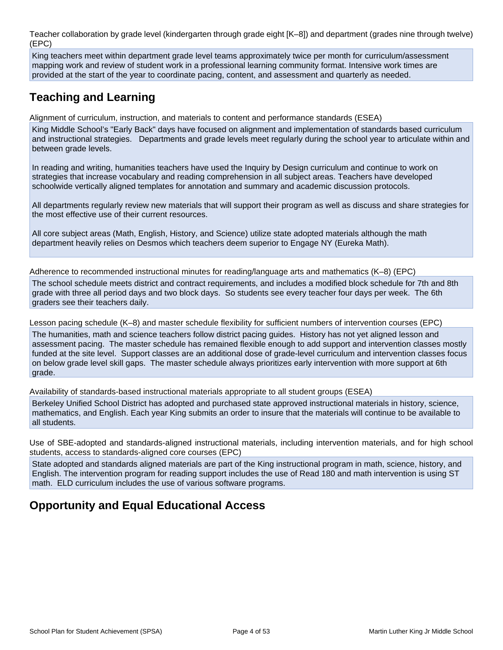Teacher collaboration by grade level (kindergarten through grade eight [K–8]) and department (grades nine through twelve) (EPC)

King teachers meet within department grade level teams approximately twice per month for curriculum/assessment mapping work and review of student work in a professional learning community format. Intensive work times are provided at the start of the year to coordinate pacing, content, and assessment and quarterly as needed.

## **Teaching and Learning**

Alignment of curriculum, instruction, and materials to content and performance standards (ESEA)

King Middle School's "Early Back" days have focused on alignment and implementation of standards based curriculum and instructional strategies. Departments and grade levels meet regularly during the school year to articulate within and between grade levels.

In reading and writing, humanities teachers have used the Inquiry by Design curriculum and continue to work on strategies that increase vocabulary and reading comprehension in all subject areas. Teachers have developed schoolwide vertically aligned templates for annotation and summary and academic discussion protocols.

All departments regularly review new materials that will support their program as well as discuss and share strategies for the most effective use of their current resources.

All core subject areas (Math, English, History, and Science) utilize state adopted materials although the math department heavily relies on Desmos which teachers deem superior to Engage NY (Eureka Math).

Adherence to recommended instructional minutes for reading/language arts and mathematics (K–8) (EPC) The school schedule meets district and contract requirements, and includes a modified block schedule for 7th and 8th grade with three all period days and two block days. So students see every teacher four days per week. The 6th graders see their teachers daily.

Lesson pacing schedule (K–8) and master schedule flexibility for sufficient numbers of intervention courses (EPC)

The humanities, math and science teachers follow district pacing guides. History has not yet aligned lesson and assessment pacing. The master schedule has remained flexible enough to add support and intervention classes mostly funded at the site level. Support classes are an additional dose of grade-level curriculum and intervention classes focus on below grade level skill gaps. The master schedule always prioritizes early intervention with more support at 6th grade.

Availability of standards-based instructional materials appropriate to all student groups (ESEA)

Berkeley Unified School District has adopted and purchased state approved instructional materials in history, science, mathematics, and English. Each year King submits an order to insure that the materials will continue to be available to all students.

Use of SBE-adopted and standards-aligned instructional materials, including intervention materials, and for high school students, access to standards-aligned core courses (EPC)

State adopted and standards aligned materials are part of the King instructional program in math, science, history, and English. The intervention program for reading support includes the use of Read 180 and math intervention is using ST math. ELD curriculum includes the use of various software programs.

## **Opportunity and Equal Educational Access**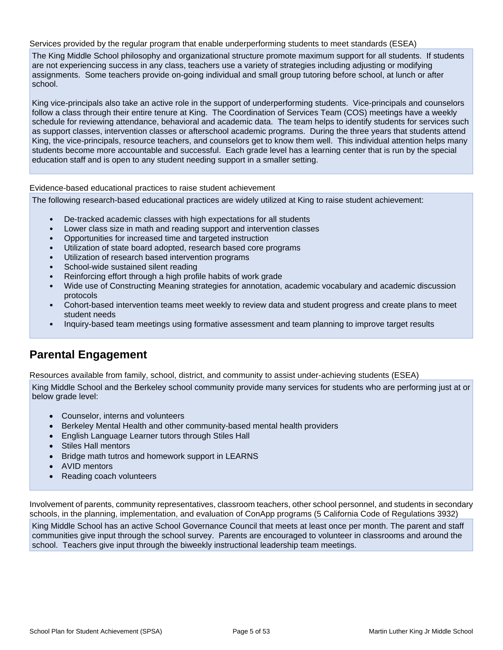Services provided by the regular program that enable underperforming students to meet standards (ESEA)

The King Middle School philosophy and organizational structure promote maximum support for all students. If students are not experiencing success in any class, teachers use a variety of strategies including adjusting or modifying assignments. Some teachers provide on-going individual and small group tutoring before school, at lunch or after school.

King vice-principals also take an active role in the support of underperforming students. Vice-principals and counselors follow a class through their entire tenure at King. The Coordination of Services Team (COS) meetings have a weekly schedule for reviewing attendance, behavioral and academic data. The team helps to identify students for services such as support classes, intervention classes or afterschool academic programs. During the three years that students attend King, the vice-principals, resource teachers, and counselors get to know them well. This individual attention helps many students become more accountable and successful. Each grade level has a learning center that is run by the special education staff and is open to any student needing support in a smaller setting.

Evidence-based educational practices to raise student achievement

The following research-based educational practices are widely utilized at King to raise student achievement:

- De-tracked academic classes with high expectations for all students
- Lower class size in math and reading support and intervention classes
- Opportunities for increased time and targeted instruction
- Utilization of state board adopted, research based core programs
- Utilization of research based intervention programs
- School-wide sustained silent reading
- Reinforcing effort through a high profile habits of work grade
- Wide use of Constructing Meaning strategies for annotation, academic vocabulary and academic discussion protocols
- Cohort-based intervention teams meet weekly to review data and student progress and create plans to meet student needs
- Inquiry-based team meetings using formative assessment and team planning to improve target results

## **Parental Engagement**

Resources available from family, school, district, and community to assist under-achieving students (ESEA)

King Middle School and the Berkeley school community provide many services for students who are performing just at or below grade level:

- Counselor, interns and volunteers
- Berkeley Mental Health and other community-based mental health providers
- English Language Learner tutors through Stiles Hall
- Stiles Hall mentors
- Bridge math tutros and homework support in LEARNS
- AVID mentors
- Reading coach volunteers

Involvement of parents, community representatives, classroom teachers, other school personnel, and students in secondary schools, in the planning, implementation, and evaluation of ConApp programs (5 California Code of Regulations 3932) King Middle School has an active School Governance Council that meets at least once per month. The parent and staff communities give input through the school survey. Parents are encouraged to volunteer in classrooms and around the school. Teachers give input through the biweekly instructional leadership team meetings.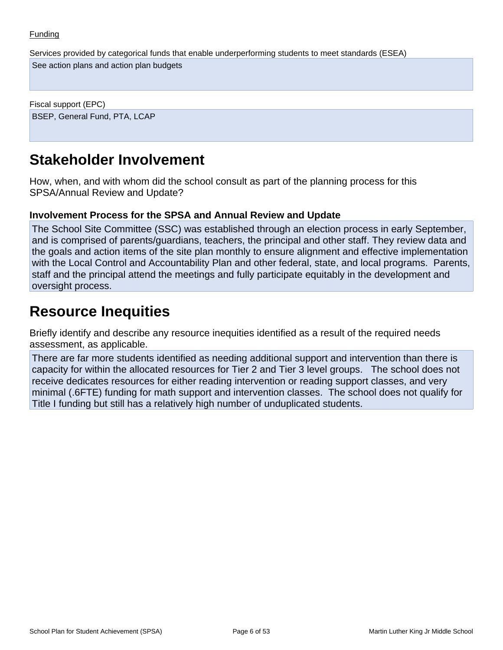Services provided by categorical funds that enable underperforming students to meet standards (ESEA)

See action plans and action plan budgets

Fiscal support (EPC) BSEP, General Fund, PTA, LCAP

## **Stakeholder Involvement**

How, when, and with whom did the school consult as part of the planning process for this SPSA/Annual Review and Update?

### **Involvement Process for the SPSA and Annual Review and Update**

The School Site Committee (SSC) was established through an election process in early September, and is comprised of parents/guardians, teachers, the principal and other staff. They review data and the goals and action items of the site plan monthly to ensure alignment and effective implementation with the Local Control and Accountability Plan and other federal, state, and local programs. Parents, staff and the principal attend the meetings and fully participate equitably in the development and oversight process.

## **Resource Inequities**

Briefly identify and describe any resource inequities identified as a result of the required needs assessment, as applicable.

There are far more students identified as needing additional support and intervention than there is capacity for within the allocated resources for Tier 2 and Tier 3 level groups. The school does not receive dedicates resources for either reading intervention or reading support classes, and very minimal (.6FTE) funding for math support and intervention classes. The school does not qualify for Title I funding but still has a relatively high number of unduplicated students.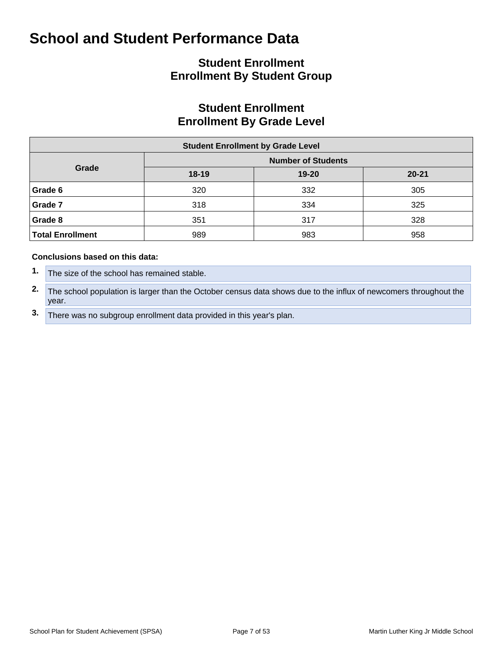## **Student Enrollment Enrollment By Student Group**

## **Student Enrollment Enrollment By Grade Level**

| <b>Student Enrollment by Grade Level</b> |           |                           |           |  |  |  |  |  |  |  |  |
|------------------------------------------|-----------|---------------------------|-----------|--|--|--|--|--|--|--|--|
|                                          |           | <b>Number of Students</b> |           |  |  |  |  |  |  |  |  |
| Grade                                    | $18 - 19$ | 19-20                     | $20 - 21$ |  |  |  |  |  |  |  |  |
| Grade 6                                  | 320       | 332                       | 305       |  |  |  |  |  |  |  |  |
| Grade 7                                  | 318       | 334                       | 325       |  |  |  |  |  |  |  |  |
| Grade 8                                  | 351       | 317                       | 328       |  |  |  |  |  |  |  |  |
| Total Enrollment                         | 989       | 983                       | 958       |  |  |  |  |  |  |  |  |

#### **Conclusions based on this data:**

- **1.** The size of the school has remained stable.
- **2.** The school population is larger than the October census data shows due to the influx of newcomers throughout the year.
- **3.** There was no subgroup enrollment data provided in this year's plan.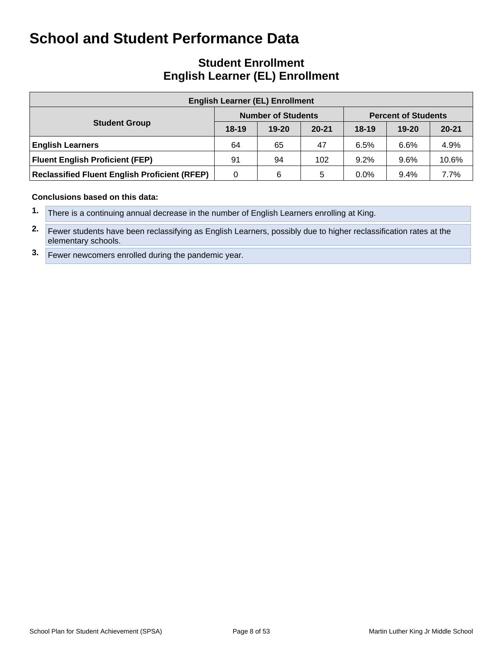### **Student Enrollment English Learner (EL) Enrollment**

| <b>English Learner (EL) Enrollment</b>               |         |                           |           |                            |           |           |  |  |  |  |  |  |
|------------------------------------------------------|---------|---------------------------|-----------|----------------------------|-----------|-----------|--|--|--|--|--|--|
|                                                      |         | <b>Number of Students</b> |           | <b>Percent of Students</b> |           |           |  |  |  |  |  |  |
| <b>Student Group</b>                                 | $18-19$ | $19 - 20$                 | $20 - 21$ | $18-19$                    | $19 - 20$ | $20 - 21$ |  |  |  |  |  |  |
| <b>English Learners</b>                              | 64      | 65                        | 47        | 6.5%                       | 6.6%      | 4.9%      |  |  |  |  |  |  |
| <b>Fluent English Proficient (FEP)</b>               | 91      | 94                        | 102       | 9.2%                       | 9.6%      | 10.6%     |  |  |  |  |  |  |
| <b>Reclassified Fluent English Proficient (RFEP)</b> | 0       | 6                         | 5         | $0.0\%$                    | 9.4%      | 7.7%      |  |  |  |  |  |  |

#### **Conclusions based on this data:**

**2.** Fewer students have been reclassifying as English Learners, possibly due to higher reclassification rates at the elementary schools.

**3.** Fewer newcomers enrolled during the pandemic year.

**<sup>1.</sup>** There is a continuing annual decrease in the number of English Learners enrolling at King.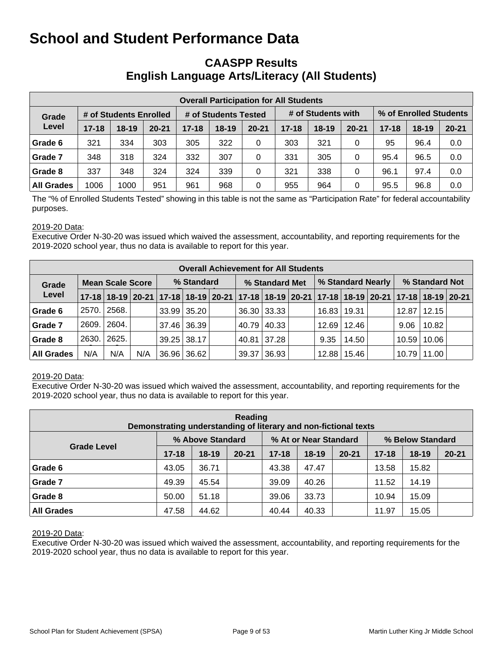### **CAASPP Results English Language Arts/Literacy (All Students)**

| <b>Overall Participation for All Students</b> |           |                        |           |           |                      |           |           |                    |           |                        |         |           |  |
|-----------------------------------------------|-----------|------------------------|-----------|-----------|----------------------|-----------|-----------|--------------------|-----------|------------------------|---------|-----------|--|
| Grade                                         |           | # of Students Enrolled |           |           | # of Students Tested |           |           | # of Students with |           | % of Enrolled Students |         |           |  |
| Level                                         | $17 - 18$ | $18 - 19$              | $20 - 21$ | $17 - 18$ | $18 - 19$            | $20 - 21$ | $17 - 18$ | $18-19$            | $20 - 21$ | $17 - 18$              | $18-19$ | $20 - 21$ |  |
| Grade 6                                       | 321       | 334                    | 303       | 305       | 322                  | 0         | 303       | 321                | 0         | 95                     | 96.4    | 0.0       |  |
| Grade 7                                       | 348       | 318                    | 324       | 332       | 307                  | 0         | 331       | 305                | 0         | 95.4                   | 96.5    | 0.0       |  |
| Grade 8                                       | 337       | 348                    | 324       | 324       | 339                  | 0         | 321       | 338                | 0         | 96.1                   | 97.4    | 0.0       |  |
| <b>All Grades</b>                             | 1006      | 1000                   | 951       | 961       | 968                  | 0         | 955       | 964                | 0         | 95.5                   | 96.8    | 0.0       |  |

The "% of Enrolled Students Tested" showing in this table is not the same as "Participation Rate" for federal accountability purposes.

#### 2019-20 Data:

Executive Order N-30-20 was issued which waived the assessment, accountability, and reporting requirements for the 2019-2020 school year, thus no data is available to report for this year.

|                   | <b>Overall Achievement for All Students</b> |                         |                                                                                           |            |                    |  |                |             |  |                   |                 |  |                |               |  |
|-------------------|---------------------------------------------|-------------------------|-------------------------------------------------------------------------------------------|------------|--------------------|--|----------------|-------------|--|-------------------|-----------------|--|----------------|---------------|--|
| Grade             |                                             | <b>Mean Scale Score</b> |                                                                                           | % Standard |                    |  | % Standard Met |             |  | % Standard Nearly |                 |  | % Standard Not |               |  |
| Level             |                                             |                         | 17-18 18-19 20-21 17-18 18-19 20-21 17-18 18-19 20-21 17-18 18-19 20-21 17-18 18-19 20-21 |            |                    |  |                |             |  |                   |                 |  |                |               |  |
| Grade 6           | 2570.1                                      | 2568.                   |                                                                                           |            | $33.99 \mid 35.20$ |  |                | 36.30 33.33 |  |                   | 16.83   19.31   |  | 12.87          | 12.15         |  |
| Grade 7           | 2609.                                       | 2604.                   |                                                                                           |            | 37.46 36.39        |  |                | 40.79 40.33 |  |                   | $12.69$   12.46 |  | 9.06           | 10.82         |  |
| Grade 8           | 2630.1                                      | 2625.                   |                                                                                           |            | $39.25 \mid 38.17$ |  |                | 40.81 37.28 |  | 9.35              | 14.50           |  |                | 10.59   10.06 |  |
| <b>All Grades</b> | N/A                                         | N/A                     | N/A                                                                                       |            | 36.96 36.62        |  | 39.37          | 36.93       |  |                   | $12.88$   15.46 |  |                | 10.79   11.00 |  |

#### 2019-20 Data:

Executive Order N-30-20 was issued which waived the assessment, accountability, and reporting requirements for the 2019-2020 school year, thus no data is available to report for this year.

| Reading<br>Demonstrating understanding of literary and non-fictional texts |           |                  |           |           |                       |           |                  |         |           |  |  |  |  |
|----------------------------------------------------------------------------|-----------|------------------|-----------|-----------|-----------------------|-----------|------------------|---------|-----------|--|--|--|--|
|                                                                            |           | % Above Standard |           |           | % At or Near Standard |           | % Below Standard |         |           |  |  |  |  |
| <b>Grade Level</b>                                                         | $17 - 18$ | $18-19$          | $20 - 21$ | $17 - 18$ | $18-19$               | $20 - 21$ | $17 - 18$        | $18-19$ | $20 - 21$ |  |  |  |  |
| Grade 6                                                                    | 43.05     | 36.71            |           | 43.38     | 47.47                 |           | 13.58            | 15.82   |           |  |  |  |  |
| Grade 7                                                                    | 49.39     | 45.54            |           | 39.09     | 40.26                 |           | 11.52            | 14.19   |           |  |  |  |  |
| Grade 8                                                                    | 50.00     | 51.18            |           | 39.06     | 33.73                 |           | 10.94            | 15.09   |           |  |  |  |  |
| <b>All Grades</b>                                                          | 47.58     | 44.62            |           | 40.44     | 40.33                 |           | 11.97            | 15.05   |           |  |  |  |  |

#### 2019-20 Data:

Executive Order N-30-20 was issued which waived the assessment, accountability, and reporting requirements for the 2019-2020 school year, thus no data is available to report for this year.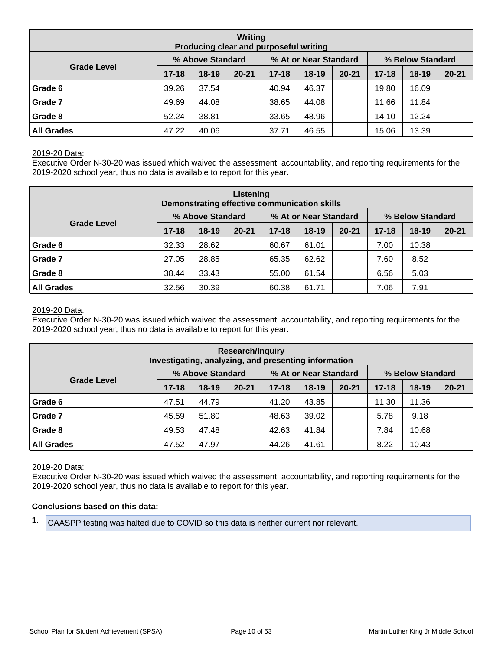| Writing<br>Producing clear and purposeful writing |                  |         |           |           |                       |           |                  |           |           |  |  |  |  |
|---------------------------------------------------|------------------|---------|-----------|-----------|-----------------------|-----------|------------------|-----------|-----------|--|--|--|--|
|                                                   | % Above Standard |         |           |           | % At or Near Standard |           | % Below Standard |           |           |  |  |  |  |
| <b>Grade Level</b>                                | $17 - 18$        | $18-19$ | $20 - 21$ | $17 - 18$ | $18 - 19$             | $20 - 21$ | $17 - 18$        | $18 - 19$ | $20 - 21$ |  |  |  |  |
| Grade 6                                           | 39.26            | 37.54   |           | 40.94     | 46.37                 |           | 19.80            | 16.09     |           |  |  |  |  |
| Grade 7                                           | 49.69            | 44.08   |           | 38.65     | 44.08                 |           | 11.66            | 11.84     |           |  |  |  |  |
| Grade 8                                           | 52.24            | 38.81   |           | 33.65     | 48.96                 |           | 14.10            | 12.24     |           |  |  |  |  |
| <b>All Grades</b>                                 | 47.22            | 40.06   |           | 37.71     | 46.55                 |           | 15.06            | 13.39     |           |  |  |  |  |

#### 2019-20 Data:

Executive Order N-30-20 was issued which waived the assessment, accountability, and reporting requirements for the 2019-2020 school year, thus no data is available to report for this year.

| Listening<br>Demonstrating effective communication skills |           |                  |           |           |                       |           |                  |         |           |  |  |  |  |
|-----------------------------------------------------------|-----------|------------------|-----------|-----------|-----------------------|-----------|------------------|---------|-----------|--|--|--|--|
|                                                           |           | % Above Standard |           |           | % At or Near Standard |           | % Below Standard |         |           |  |  |  |  |
| <b>Grade Level</b>                                        | $17 - 18$ | $18-19$          | $20 - 21$ | $17 - 18$ | $18 - 19$             | $20 - 21$ | $17 - 18$        | $18-19$ | $20 - 21$ |  |  |  |  |
| Grade 6                                                   | 32.33     | 28.62            |           | 60.67     | 61.01                 |           | 7.00             | 10.38   |           |  |  |  |  |
| Grade 7                                                   | 27.05     | 28.85            |           | 65.35     | 62.62                 |           | 7.60             | 8.52    |           |  |  |  |  |
| Grade 8                                                   | 38.44     | 33.43            |           | 55.00     | 61.54                 |           | 6.56             | 5.03    |           |  |  |  |  |
| <b>All Grades</b>                                         | 32.56     | 30.39            |           | 60.38     | 61.71                 |           | 7.06             | 7.91    |           |  |  |  |  |

#### 2019-20 Data:

Executive Order N-30-20 was issued which waived the assessment, accountability, and reporting requirements for the 2019-2020 school year, thus no data is available to report for this year.

| <b>Research/Inquiry</b><br>Investigating, analyzing, and presenting information |           |                  |           |           |                       |           |                  |         |           |  |  |  |  |
|---------------------------------------------------------------------------------|-----------|------------------|-----------|-----------|-----------------------|-----------|------------------|---------|-----------|--|--|--|--|
|                                                                                 |           | % Above Standard |           |           | % At or Near Standard |           | % Below Standard |         |           |  |  |  |  |
| <b>Grade Level</b>                                                              | $17 - 18$ | $18-19$          | $20 - 21$ | $17 - 18$ | $18 - 19$             | $20 - 21$ | $17 - 18$        | $18-19$ | $20 - 21$ |  |  |  |  |
| Grade 6                                                                         | 47.51     | 44.79            |           | 41.20     | 43.85                 |           | 11.30            | 11.36   |           |  |  |  |  |
| Grade 7                                                                         | 45.59     | 51.80            |           | 48.63     | 39.02                 |           | 5.78             | 9.18    |           |  |  |  |  |
| Grade 8                                                                         | 49.53     | 47.48            |           | 42.63     | 41.84                 |           | 7.84             | 10.68   |           |  |  |  |  |
| <b>All Grades</b>                                                               | 47.52     | 47.97            |           | 44.26     | 41.61                 |           | 8.22             | 10.43   |           |  |  |  |  |

#### 2019-20 Data:

Executive Order N-30-20 was issued which waived the assessment, accountability, and reporting requirements for the 2019-2020 school year, thus no data is available to report for this year.

#### **Conclusions based on this data:**

**1.** CAASPP testing was halted due to COVID so this data is neither current nor relevant.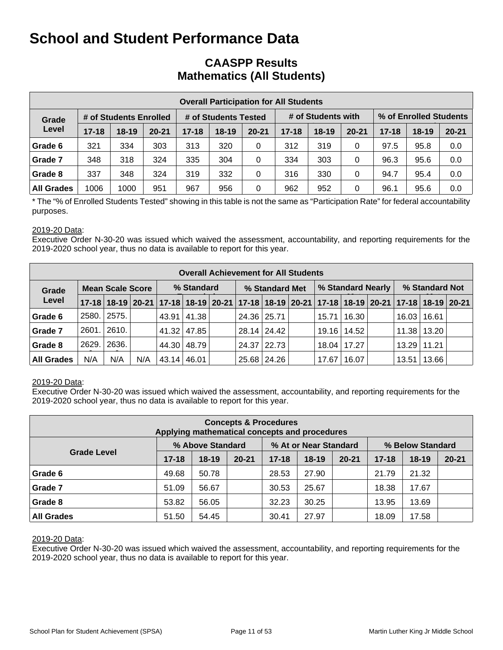### **CAASPP Results Mathematics (All Students)**

| <b>Overall Participation for All Students</b> |                        |           |                      |           |                    |           |           |                        |           |           |           |           |  |
|-----------------------------------------------|------------------------|-----------|----------------------|-----------|--------------------|-----------|-----------|------------------------|-----------|-----------|-----------|-----------|--|
| Grade                                         | # of Students Enrolled |           | # of Students Tested |           | # of Students with |           |           | % of Enrolled Students |           |           |           |           |  |
| Level                                         | $17 - 18$              | $18 - 19$ | $20 - 21$            | $17 - 18$ | $18 - 19$          | $20 - 21$ | $17 - 18$ | $18-19$                | $20 - 21$ | $17 - 18$ | $18 - 19$ | $20 - 21$ |  |
| Grade 6                                       | 321                    | 334       | 303                  | 313       | 320                | 0         | 312       | 319                    | 0         | 97.5      | 95.8      | 0.0       |  |
| Grade 7                                       | 348                    | 318       | 324                  | 335       | 304                | 0         | 334       | 303                    | 0         | 96.3      | 95.6      | 0.0       |  |
| Grade 8                                       | 337                    | 348       | 324                  | 319       | 332                | 0         | 316       | 330                    | 0         | 94.7      | 95.4      | 0.0       |  |
| <b>All Grades</b>                             | 1006                   | 1000      | 951                  | 967       | 956                | $\Omega$  | 962       | 952                    | 0         | 96.1      | 95.6      | 0.0       |  |

\* The "% of Enrolled Students Tested" showing in this table is not the same as "Participation Rate" for federal accountability purposes.

#### 2019-20 Data:

Executive Order N-30-20 was issued which waived the assessment, accountability, and reporting requirements for the 2019-2020 school year, thus no data is available to report for this year.

|                   | <b>Overall Achievement for All Students</b> |                         |     |               |               |  |                                                                                           |               |  |                   |               |  |                 |               |  |
|-------------------|---------------------------------------------|-------------------------|-----|---------------|---------------|--|-------------------------------------------------------------------------------------------|---------------|--|-------------------|---------------|--|-----------------|---------------|--|
| Grade             |                                             | <b>Mean Scale Score</b> |     | % Standard    |               |  | % Standard Met                                                                            |               |  | % Standard Nearly |               |  | % Standard Not  |               |  |
| Level             |                                             |                         |     |               |               |  | 17-18 18-19 20-21 17-18 18-19 20-21 17-18 18-19 20-21 17-18 18-19 20-21 17-18 18-19 20-21 |               |  |                   |               |  |                 |               |  |
| Grade 6           | 2580.                                       | 2575.                   |     |               | 43.91   41.38 |  | 24.36 25.71                                                                               |               |  | 15.71             | 16.30         |  | 16.03           | 16.61         |  |
| Grade 7           | 2601.                                       | 2610.                   |     |               | 41.32 47.85   |  |                                                                                           | 28.14   24.42 |  |                   | 19.16   14.52 |  |                 | 11.38   13.20 |  |
| Grade 8           | 2629.                                       | 2636.                   |     |               | 44.30   48.79 |  |                                                                                           | 24.37   22.73 |  |                   | 18.04   17.27 |  | $13.29$   11.21 |               |  |
| <b>All Grades</b> | N/A                                         | N/A                     | N/A | 43.14   46.01 |               |  |                                                                                           | 25.68 24.26   |  | 17.67             | 16.07         |  | 13.51           | 13.66         |  |

#### 2019-20 Data:

Executive Order N-30-20 was issued which waived the assessment, accountability, and reporting requirements for the 2019-2020 school year, thus no data is available to report for this year.

| <b>Concepts &amp; Procedures</b><br>Applying mathematical concepts and procedures |           |                  |           |           |                       |           |                  |           |           |  |  |  |  |
|-----------------------------------------------------------------------------------|-----------|------------------|-----------|-----------|-----------------------|-----------|------------------|-----------|-----------|--|--|--|--|
|                                                                                   |           | % Above Standard |           |           | % At or Near Standard |           | % Below Standard |           |           |  |  |  |  |
| <b>Grade Level</b>                                                                | $17 - 18$ | $18 - 19$        | $20 - 21$ | $17 - 18$ | $18 - 19$             | $20 - 21$ | $17 - 18$        | $18 - 19$ | $20 - 21$ |  |  |  |  |
| Grade 6                                                                           | 49.68     | 50.78            |           | 28.53     | 27.90                 |           | 21.79            | 21.32     |           |  |  |  |  |
| Grade 7                                                                           | 51.09     | 56.67            |           | 30.53     | 25.67                 |           | 18.38            | 17.67     |           |  |  |  |  |
| Grade 8                                                                           | 53.82     | 56.05            |           | 32.23     | 30.25                 |           | 13.95            | 13.69     |           |  |  |  |  |
| <b>All Grades</b>                                                                 | 51.50     | 54.45            |           | 30.41     | 27.97                 |           | 18.09            | 17.58     |           |  |  |  |  |

#### 2019-20 Data:

Executive Order N-30-20 was issued which waived the assessment, accountability, and reporting requirements for the 2019-2020 school year, thus no data is available to report for this year.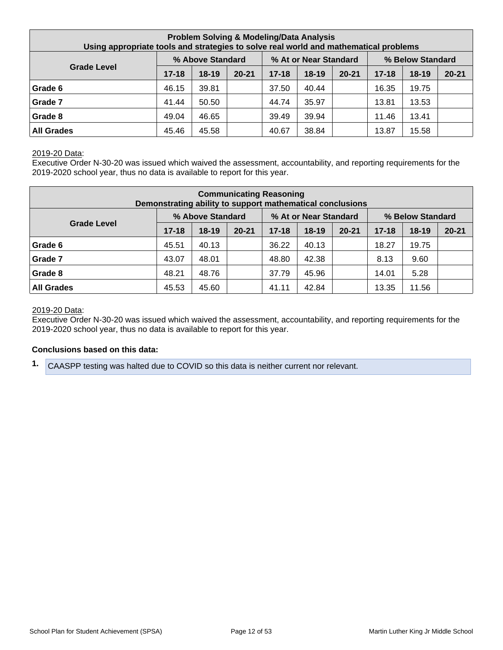| <b>Problem Solving &amp; Modeling/Data Analysis</b><br>Using appropriate tools and strategies to solve real world and mathematical problems |           |         |           |           |         |           |           |           |           |  |
|---------------------------------------------------------------------------------------------------------------------------------------------|-----------|---------|-----------|-----------|---------|-----------|-----------|-----------|-----------|--|
| % Above Standard<br>% At or Near Standard<br>% Below Standard<br><b>Grade Level</b>                                                         |           |         |           |           |         |           |           |           |           |  |
|                                                                                                                                             | $17 - 18$ | $18-19$ | $20 - 21$ | $17 - 18$ | $18-19$ | $20 - 21$ | $17 - 18$ | $18 - 19$ | $20 - 21$ |  |
| Grade 6                                                                                                                                     | 46.15     | 39.81   |           | 37.50     | 40.44   |           | 16.35     | 19.75     |           |  |
| Grade 7                                                                                                                                     | 41.44     | 50.50   |           | 44.74     | 35.97   |           | 13.81     | 13.53     |           |  |
| Grade 8                                                                                                                                     | 49.04     | 46.65   |           | 39.49     | 39.94   |           | 11.46     | 13.41     |           |  |
| <b>All Grades</b>                                                                                                                           | 45.46     | 45.58   |           | 40.67     | 38.84   |           | 13.87     | 15.58     |           |  |

#### 2019-20 Data:

Executive Order N-30-20 was issued which waived the assessment, accountability, and reporting requirements for the 2019-2020 school year, thus no data is available to report for this year.

| <b>Communicating Reasoning</b><br>Demonstrating ability to support mathematical conclusions |           |         |           |           |           |           |           |           |           |  |  |
|---------------------------------------------------------------------------------------------|-----------|---------|-----------|-----------|-----------|-----------|-----------|-----------|-----------|--|--|
| % Above Standard<br>% At or Near Standard<br>% Below Standard                               |           |         |           |           |           |           |           |           |           |  |  |
| <b>Grade Level</b>                                                                          | $17 - 18$ | $18-19$ | $20 - 21$ | $17 - 18$ | $18 - 19$ | $20 - 21$ | $17 - 18$ | $18 - 19$ | $20 - 21$ |  |  |
| Grade 6                                                                                     | 45.51     | 40.13   |           | 36.22     | 40.13     |           | 18.27     | 19.75     |           |  |  |
| Grade 7                                                                                     | 43.07     | 48.01   |           | 48.80     | 42.38     |           | 8.13      | 9.60      |           |  |  |
| Grade 8                                                                                     | 48.21     | 48.76   |           | 37.79     | 45.96     |           | 14.01     | 5.28      |           |  |  |
| <b>All Grades</b>                                                                           | 45.60     |         | 41.11     | 42.84     |           | 13.35     | 11.56     |           |           |  |  |

#### 2019-20 Data:

Executive Order N-30-20 was issued which waived the assessment, accountability, and reporting requirements for the 2019-2020 school year, thus no data is available to report for this year.

#### **Conclusions based on this data:**

**1.** CAASPP testing was halted due to COVID so this data is neither current nor relevant.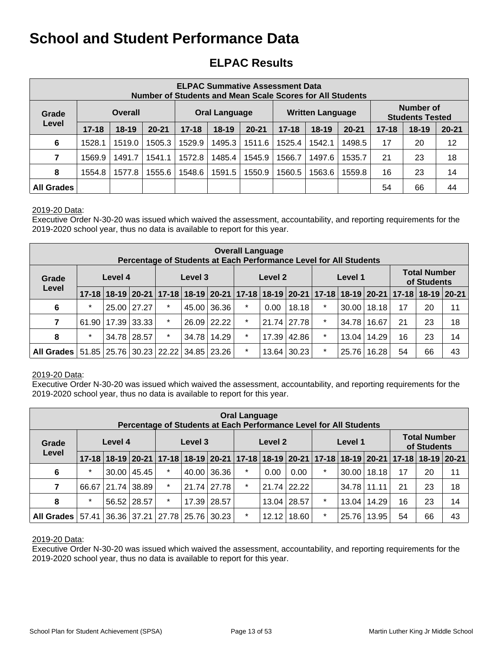## **ELPAC Results**

|                   | <b>ELPAC Summative Assessment Data</b><br>Number of Students and Mean Scale Scores for All Students                                                |                |        |        |                      |        |        |                         |        |    |                                            |    |
|-------------------|----------------------------------------------------------------------------------------------------------------------------------------------------|----------------|--------|--------|----------------------|--------|--------|-------------------------|--------|----|--------------------------------------------|----|
| Grade             |                                                                                                                                                    | <b>Overall</b> |        |        | <b>Oral Language</b> |        |        | <b>Written Language</b> |        |    | <b>Number of</b><br><b>Students Tested</b> |    |
| Level             | $18-19$<br>$20 - 21$<br>$17 - 18$<br>$18-19$<br>$20 - 21$<br>$17 - 18$<br>$17 - 18$<br>$18-19$<br>$17 - 18$<br>$18 - 19$<br>$20 - 21$<br>$20 - 21$ |                |        |        |                      |        |        |                         |        |    |                                            |    |
| 6                 | 1528.1                                                                                                                                             | 1519.0         | 1505.3 | 1529.9 | 1495.3               | 1511.6 | 1525.4 | 1542.1                  | 1498.5 | 17 | 20                                         | 12 |
| 7                 | 1569.9                                                                                                                                             | 1491.7         | 1541.1 | 1572.8 | 1485.4               | 1545.9 | 1566.7 | 1497.6                  | 1535.7 | 21 | 23                                         | 18 |
| 8                 | 14<br>1577.8<br>1555.6<br>1548.6<br>1550.9<br>1560.5<br>1559.8<br>16<br>23<br>1554.8<br>1591.5<br>1563.6                                           |                |        |        |                      |        |        |                         |        |    |                                            |    |
| <b>All Grades</b> |                                                                                                                                                    |                |        |        |                      |        |        |                         |        | 54 | 66                                         | 44 |

#### 2019-20 Data:

Executive Order N-30-20 was issued which waived the assessment, accountability, and reporting requirements for the 2019-2020 school year, thus no data is available to report for this year.

|                                                | <b>Overall Language</b><br>Percentage of Students at Each Performance Level for All Students |         |             |         |         |                    |                                                                                     |       |                    |                                    |       |       |    |    |    |
|------------------------------------------------|----------------------------------------------------------------------------------------------|---------|-------------|---------|---------|--------------------|-------------------------------------------------------------------------------------|-------|--------------------|------------------------------------|-------|-------|----|----|----|
| Grade                                          |                                                                                              | Level 4 |             |         | Level 3 | Level 2<br>Level 1 |                                                                                     |       |                    | <b>Total Number</b><br>of Students |       |       |    |    |    |
| Level                                          | $17 - 18$                                                                                    |         |             |         |         |                    | 18-19 20-21 17-18 18-19 20-21 17-18 18-19 20-21 17-18 18-19 20-21 17-18 18-19 20-21 |       |                    |                                    |       |       |    |    |    |
| 6                                              | $\star$                                                                                      |         | 25.00 27.27 | $\ast$  |         | 45.00 36.36        | $\star$                                                                             | 0.00  | 18.18              | $\star$                            | 30.00 | 18.18 | 17 | 20 | 11 |
| 7                                              | 61.90                                                                                        |         | 17.39 33.33 | $\star$ | 26.09   | 22.22              | $\star$                                                                             |       | 21.74 27.78        | $\star$                            | 34.78 | 16.67 | 21 | 23 | 18 |
| 8                                              | $\star$                                                                                      |         | 34.78 28.57 | $\star$ | 34.78   | 14.29              | $\star$                                                                             | 17.39 | 42.86              | $\star$                            | 13.04 | 14.29 | 16 | 23 | 14 |
| All Grades 51.85 25.76 30.23 22.22 34.85 23.26 |                                                                                              |         |             |         |         |                    | $\star$                                                                             |       | $13.64 \mid 30.23$ | $\star$                            | 25.76 | 16.28 | 54 | 66 | 43 |

#### 2019-20 Data:

Executive Order N-30-20 was issued which waived the assessment, accountability, and reporting requirements for the 2019-2020 school year, thus no data is available to report for this year.

| <b>Oral Language</b><br>Percentage of Students at Each Performance Level for All Students |           |         |             |                         |             |       |                    |       |             |                                    |       |       |                                                                                     |    |    |
|-------------------------------------------------------------------------------------------|-----------|---------|-------------|-------------------------|-------------|-------|--------------------|-------|-------------|------------------------------------|-------|-------|-------------------------------------------------------------------------------------|----|----|
| Grade                                                                                     |           | Level 4 |             |                         | Level 3     |       | Level 1<br>Level 2 |       |             | <b>Total Number</b><br>of Students |       |       |                                                                                     |    |    |
| Level                                                                                     | $17 - 18$ |         |             |                         |             |       |                    |       |             |                                    |       |       | 18-19 20-21 17-18 18-19 20-21 17-18 18-19 20-21 17-18 18-19 20-21 17-18 18-19 20-21 |    |    |
| 6                                                                                         | $\ast$    | 30.00   | 45.45       | $\star$                 | 40.00       | 36.36 | $\star$            | 0.00  | 0.00        | $\star$                            | 30.00 | 18.18 | 17                                                                                  | 20 | 11 |
| $\overline{7}$                                                                            | 66.67     |         | 21.74 38.89 | $\star$                 | 21.74 27.78 |       | $\star$            |       | 21.74 22.22 |                                    | 34.78 | 11.11 | 21                                                                                  | 23 | 18 |
| 8                                                                                         | $\ast$    |         | 56.52 28.57 | $\star$                 | 17.39       | 28.57 |                    | 13.04 | 28.57       | $\ast$                             | 13.04 | 14.29 | 16                                                                                  | 23 | 14 |
| All Grades                                                                                | 57.41     |         |             | 36.36 37.21 27.78 25.76 |             | 30.23 | $\star$            | 12.12 | 18.60       | $\ast$                             | 25.76 | 13.95 | 54                                                                                  | 66 | 43 |

#### 2019-20 Data:

Executive Order N-30-20 was issued which waived the assessment, accountability, and reporting requirements for the 2019-2020 school year, thus no data is available to report for this year.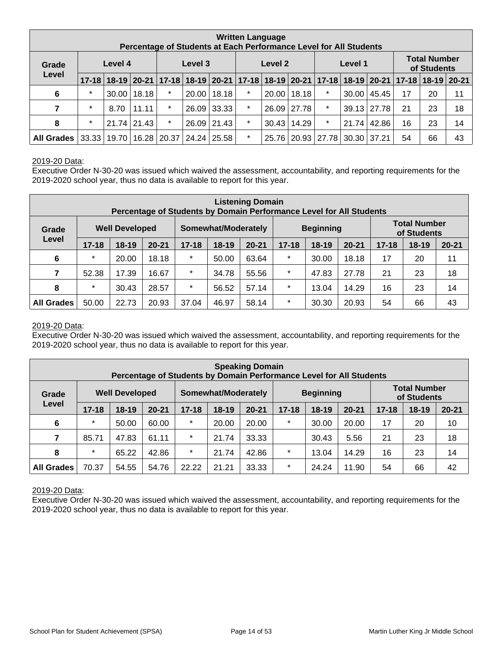| <b>Written Language</b><br>Percentage of Students at Each Performance Level for All Students |           |         |             |                       |         |                 |                    |       |                    |                 |                                    |               |                                                                                     |    |    |
|----------------------------------------------------------------------------------------------|-----------|---------|-------------|-----------------------|---------|-----------------|--------------------|-------|--------------------|-----------------|------------------------------------|---------------|-------------------------------------------------------------------------------------|----|----|
| Grade                                                                                        |           | Level 4 |             |                       | Level 3 |                 | Level 1<br>Level 2 |       |                    |                 | <b>Total Number</b><br>of Students |               |                                                                                     |    |    |
| Level                                                                                        | $17 - 18$ |         |             |                       |         |                 |                    |       |                    |                 |                                    |               | 18-19 20-21 17-18 18-19 20-21 17-18 18-19 20-21 17-18 18-19 20-21 17-18 18-19 20-21 |    |    |
| 6                                                                                            | $\star$   | 30.00   | 18.18       | $\star$               | 20.00   | 18.18           | $\star$            | 20.00 | 18.18              | $\star$         | 30.00                              | 45.45         | 17                                                                                  | 20 | 11 |
| 7                                                                                            | $\star$   | 8.70    | 11.11       | $\star$               | 26.09   | 33.33           | $\star$            | 26.09 | 27.78              | $\star$         |                                    | $39.13$ 27.78 | 21                                                                                  | 23 | 18 |
| 8                                                                                            | $\ast$    |         | 21.74 21.43 | $\star$               |         | $26.09$   21.43 | $\star$            |       | $30.43 \mid 14.29$ | $\star$         | 21.74                              | 42.86         | 16                                                                                  | 23 | 14 |
| <b>All Grades</b>                                                                            | 33.33     | 19.70   |             | 16.28   20.37   24.24 |         | 25.58           | $\star$            | 25.76 |                    | $20.93$   27.78 | 30.30 37.21                        |               | 54                                                                                  | 66 | 43 |

#### 2019-20 Data:

Executive Order N-30-20 was issued which waived the assessment, accountability, and reporting requirements for the 2019-2020 school year, thus no data is available to report for this year.

|                   | <b>Listening Domain</b><br>Percentage of Students by Domain Performance Level for All Students |                       |           |                                         |           |           |           |                                    |           |           |         |           |
|-------------------|------------------------------------------------------------------------------------------------|-----------------------|-----------|-----------------------------------------|-----------|-----------|-----------|------------------------------------|-----------|-----------|---------|-----------|
| Grade             |                                                                                                | <b>Well Developed</b> |           | Somewhat/Moderately<br><b>Beginning</b> |           |           |           | <b>Total Number</b><br>of Students |           |           |         |           |
| Level             | $17 - 18$                                                                                      | $18 - 19$             | $20 - 21$ | $17 - 18$                               | $18 - 19$ | $20 - 21$ | $17 - 18$ | $18 - 19$                          | $20 - 21$ | $17 - 18$ | $18-19$ | $20 - 21$ |
| 6                 | $\star$                                                                                        | 20.00                 | 18.18     | $\star$                                 | 50.00     | 63.64     | $\star$   | 30.00                              | 18.18     | 17        | 20      | 11        |
| 7                 | 52.38                                                                                          | 17.39                 | 16.67     | $\star$                                 | 34.78     | 55.56     | $\star$   | 47.83                              | 27.78     | 21        | 23      | 18        |
| 8                 | $\star$                                                                                        | 30.43                 | 28.57     | $\star$                                 | 56.52     | 57.14     | $\star$   | 13.04                              | 14.29     | 16        | 23      | 14        |
| <b>All Grades</b> | 50.00                                                                                          | 22.73                 | 20.93     | 37.04                                   | 46.97     | 58.14     | $\ast$    | 30.30                              | 20.93     | 54        | 66      | 43        |

#### 2019-20 Data:

Executive Order N-30-20 was issued which waived the assessment, accountability, and reporting requirements for the 2019-2020 school year, thus no data is available to report for this year.

|                   | <b>Speaking Domain</b><br>Percentage of Students by Domain Performance Level for All Students |                       |           |           |                     |           |           |                  |           |           |                                    |           |
|-------------------|-----------------------------------------------------------------------------------------------|-----------------------|-----------|-----------|---------------------|-----------|-----------|------------------|-----------|-----------|------------------------------------|-----------|
| Grade             |                                                                                               | <b>Well Developed</b> |           |           | Somewhat/Moderately |           |           | <b>Beginning</b> |           |           | <b>Total Number</b><br>of Students |           |
| Level             | $17 - 18$                                                                                     | $18 - 19$             | $20 - 21$ | $17 - 18$ | $18-19$             | $20 - 21$ | $17 - 18$ | $18-19$          | $20 - 21$ | $17 - 18$ | $18 - 19$                          | $20 - 21$ |
| $6\phantom{1}6$   | $\star$                                                                                       | 50.00                 | 60.00     | $\star$   | 20.00               | 20.00     | $\star$   | 30.00            | 20.00     | 17        | 20                                 | 10        |
| 7                 | 85.71                                                                                         | 47.83                 | 61.11     | $\star$   | 21.74               | 33.33     |           | 30.43            | 5.56      | 21        | 23                                 | 18        |
| 8                 | $\star$                                                                                       | 65.22                 | 42.86     | $\star$   | 21.74               | 42.86     | $\star$   | 13.04            | 14.29     | 16        | 23                                 | 14        |
| <b>All Grades</b> | 70.37                                                                                         | 54.55                 | 54.76     | 22.22     | 21.21               | 33.33     | $\star$   | 24.24            | 11.90     | 54        | 66                                 | 42        |

2019-20 Data:

Executive Order N-30-20 was issued which waived the assessment, accountability, and reporting requirements for the 2019-2020 school year, thus no data is available to report for this year.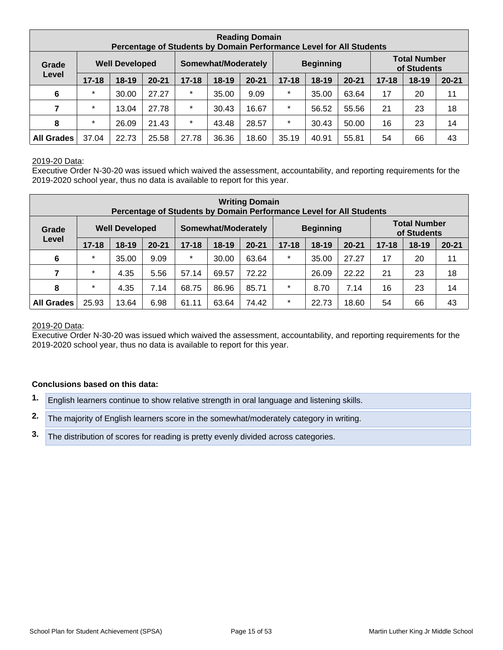|                   | <b>Reading Domain</b><br>Percentage of Students by Domain Performance Level for All Students |                       |           |           |                     |           |           |                  |           |           |                                    |           |
|-------------------|----------------------------------------------------------------------------------------------|-----------------------|-----------|-----------|---------------------|-----------|-----------|------------------|-----------|-----------|------------------------------------|-----------|
| Grade             |                                                                                              | <b>Well Developed</b> |           |           | Somewhat/Moderately |           |           | <b>Beginning</b> |           |           | <b>Total Number</b><br>of Students |           |
| Level             | $17 - 18$                                                                                    | $18-19$               | $20 - 21$ | $17 - 18$ | $18-19$             | $20 - 21$ | $17 - 18$ | $18-19$          | $20 - 21$ | $17 - 18$ | $18 - 19$                          | $20 - 21$ |
| $6\phantom{1}6$   | $\star$                                                                                      | 30.00                 | 27.27     | $\star$   | 35.00               | 9.09      | $\star$   | 35.00            | 63.64     | 17        | 20                                 | 11        |
| 7                 | $\star$                                                                                      | 13.04                 | 27.78     | $\star$   | 30.43               | 16.67     | $\star$   | 56.52            | 55.56     | 21        | 23                                 | 18        |
| 8                 | $\star$                                                                                      | 26.09                 | 21.43     | $\star$   | 43.48               | 28.57     | $\star$   | 30.43            | 50.00     | 16        | 23                                 | 14        |
| <b>All Grades</b> | 37.04                                                                                        | 22.73                 | 25.58     | 27.78     | 36.36               | 18.60     | 35.19     | 40.91            | 55.81     | 54        | 66                                 | 43        |

#### 2019-20 Data:

Executive Order N-30-20 was issued which waived the assessment, accountability, and reporting requirements for the 2019-2020 school year, thus no data is available to report for this year.

|                   | <b>Writing Domain</b><br>Percentage of Students by Domain Performance Level for All Students |                       |           |           |                     |           |           |                  |           |           |                                    |           |
|-------------------|----------------------------------------------------------------------------------------------|-----------------------|-----------|-----------|---------------------|-----------|-----------|------------------|-----------|-----------|------------------------------------|-----------|
| Grade             |                                                                                              | <b>Well Developed</b> |           |           | Somewhat/Moderately |           |           | <b>Beginning</b> |           |           | <b>Total Number</b><br>of Students |           |
| Level             | $17 - 18$                                                                                    | $18-19$               | $20 - 21$ | $17 - 18$ | $18-19$             | $20 - 21$ | $17 - 18$ | $18 - 19$        | $20 - 21$ | $17 - 18$ | $18-19$                            | $20 - 21$ |
| $6\phantom{1}6$   | $\star$                                                                                      | 35.00                 | 9.09      | $\star$   | 30.00               | 63.64     | $\star$   | 35.00            | 27.27     | 17        | 20                                 | 11        |
| 7                 | $\star$                                                                                      | 4.35                  | 5.56      | 57.14     | 69.57               | 72.22     |           | 26.09            | 22.22     | 21        | 23                                 | 18        |
| 8                 | $\star$                                                                                      | 4.35                  | 7.14      | 68.75     | 86.96               | 85.71     | $\star$   | 8.70             | 7.14      | 16        | 23                                 | 14        |
| <b>All Grades</b> | 25.93                                                                                        | 13.64                 | 6.98      | 61.11     | 63.64               | 74.42     | $\star$   | 22.73            | 18.60     | 54        | 66                                 | 43        |

#### 2019-20 Data:

Executive Order N-30-20 was issued which waived the assessment, accountability, and reporting requirements for the 2019-2020 school year, thus no data is available to report for this year.

#### **Conclusions based on this data:**

- **1.** English learners continue to show relative strength in oral language and listening skills.
- **2.** The majority of English learners score in the somewhat/moderately category in writing.
- **3.** The distribution of scores for reading is pretty evenly divided across categories.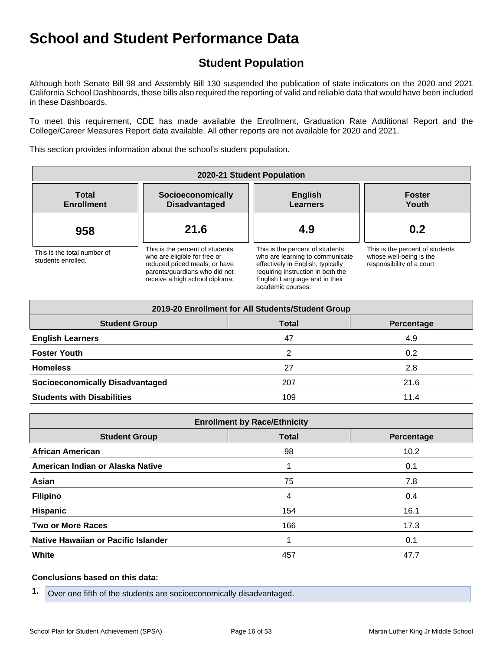## **Student Population**

Although both Senate Bill 98 and Assembly Bill 130 suspended the publication of state indicators on the 2020 and 2021 California School Dashboards, these bills also required the reporting of valid and reliable data that would have been included in these Dashboards.

To meet this requirement, CDE has made available the Enrollment, Graduation Rate Additional Report and the College/Career Measures Report data available. All other reports are not available for 2020 and 2021.

This section provides information about the school's student population.

| 2020-21 Student Population                        |                                                                                                                                                                     |                                                                                                                                                                                                    |                                                                                          |  |  |  |  |  |  |
|---------------------------------------------------|---------------------------------------------------------------------------------------------------------------------------------------------------------------------|----------------------------------------------------------------------------------------------------------------------------------------------------------------------------------------------------|------------------------------------------------------------------------------------------|--|--|--|--|--|--|
| <b>Total</b><br><b>Enrollment</b>                 | Socioeconomically<br><b>Disadvantaged</b>                                                                                                                           | <b>English</b><br>Learners                                                                                                                                                                         | <b>Foster</b><br>Youth                                                                   |  |  |  |  |  |  |
| 958                                               | 21.6                                                                                                                                                                | 4.9                                                                                                                                                                                                | 0.2                                                                                      |  |  |  |  |  |  |
| This is the total number of<br>students enrolled. | This is the percent of students<br>who are eligible for free or<br>reduced priced meals; or have<br>parents/quardians who did not<br>receive a high school diploma. | This is the percent of students<br>who are learning to communicate<br>effectively in English, typically<br>requiring instruction in both the<br>English Language and in their<br>academic courses. | This is the percent of students<br>whose well-being is the<br>responsibility of a court. |  |  |  |  |  |  |

| 2019-20 Enrollment for All Students/Student Group |              |            |  |  |  |  |  |  |  |
|---------------------------------------------------|--------------|------------|--|--|--|--|--|--|--|
| <b>Student Group</b>                              | <b>Total</b> | Percentage |  |  |  |  |  |  |  |
| <b>English Learners</b>                           | 47           | 4.9        |  |  |  |  |  |  |  |
| <b>Foster Youth</b>                               | 2            | 0.2        |  |  |  |  |  |  |  |
| <b>Homeless</b>                                   | 27           | 2.8        |  |  |  |  |  |  |  |
| <b>Socioeconomically Disadvantaged</b>            | 207          | 21.6       |  |  |  |  |  |  |  |
| <b>Students with Disabilities</b>                 | 109          | 11.4       |  |  |  |  |  |  |  |

| <b>Enrollment by Race/Ethnicity</b>                |     |      |  |  |  |
|----------------------------------------------------|-----|------|--|--|--|
| <b>Total</b><br><b>Student Group</b><br>Percentage |     |      |  |  |  |
| <b>African American</b>                            | 98  | 10.2 |  |  |  |
| American Indian or Alaska Native                   |     | 0.1  |  |  |  |
| Asian                                              | 75  | 7.8  |  |  |  |
| <b>Filipino</b>                                    | 4   | 0.4  |  |  |  |
| <b>Hispanic</b>                                    | 154 | 16.1 |  |  |  |
| <b>Two or More Races</b>                           | 166 | 17.3 |  |  |  |
| Native Hawaiian or Pacific Islander                |     | 0.1  |  |  |  |
| <b>White</b>                                       | 457 | 47.7 |  |  |  |

#### **Conclusions based on this data:**

**1.** Over one fifth of the students are socioeconomically disadvantaged.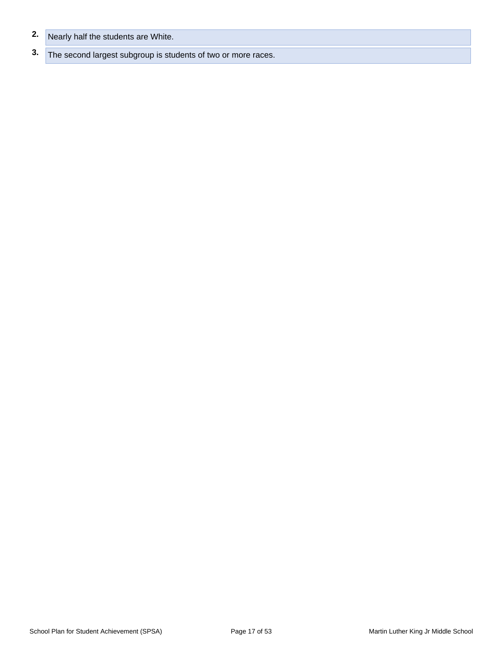- **2.** Nearly half the students are White.
- **3.** The second largest subgroup is students of two or more races.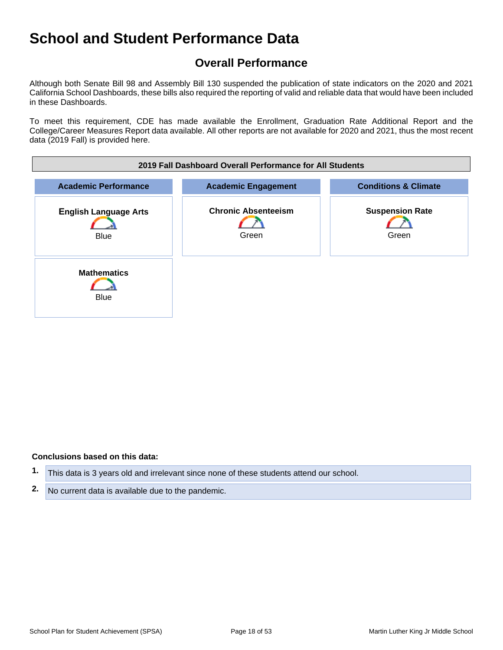## **Overall Performance**

Although both Senate Bill 98 and Assembly Bill 130 suspended the publication of state indicators on the 2020 and 2021 California School Dashboards, these bills also required the reporting of valid and reliable data that would have been included in these Dashboards.

To meet this requirement, CDE has made available the Enrollment, Graduation Rate Additional Report and the College/Career Measures Report data available. All other reports are not available for 2020 and 2021, thus the most recent data (2019 Fall) is provided here.



#### **Conclusions based on this data:**

- **1.** This data is 3 years old and irrelevant since none of these students attend our school.
- **2.** No current data is available due to the pandemic.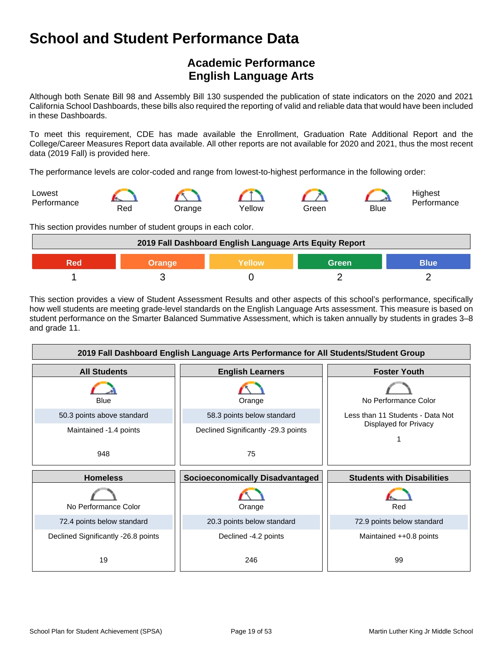## **Academic Performance English Language Arts**

Although both Senate Bill 98 and Assembly Bill 130 suspended the publication of state indicators on the 2020 and 2021 California School Dashboards, these bills also required the reporting of valid and reliable data that would have been included in these Dashboards.

To meet this requirement, CDE has made available the Enrollment, Graduation Rate Additional Report and the College/Career Measures Report data available. All other reports are not available for 2020 and 2021, thus the most recent data (2019 Fall) is provided here.

The performance levels are color-coded and range from lowest-to-highest performance in the following order:



This section provides number of student groups in each color.

| 2019 Fall Dashboard English Language Arts Equity Report |  |  |  |  |
|---------------------------------------------------------|--|--|--|--|
| Green<br><b>Blue</b><br><b>Yellow</b><br>Orange<br>900  |  |  |  |  |
|                                                         |  |  |  |  |

This section provides a view of Student Assessment Results and other aspects of this school's performance, specifically how well students are meeting grade-level standards on the English Language Arts assessment. This measure is based on student performance on the Smarter Balanced Summative Assessment, which is taken annually by students in grades 3–8 and grade 11.

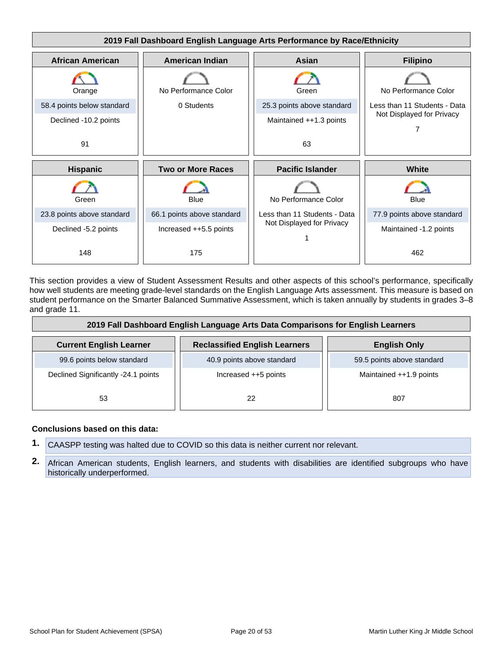

This section provides a view of Student Assessment Results and other aspects of this school's performance, specifically how well students are meeting grade-level standards on the English Language Arts assessment. This measure is based on student performance on the Smarter Balanced Summative Assessment, which is taken annually by students in grades 3–8 and grade 11.

| 2019 Fall Dashboard English Language Arts Data Comparisons for English Learners |                                      |                            |  |
|---------------------------------------------------------------------------------|--------------------------------------|----------------------------|--|
| <b>Current English Learner</b>                                                  | <b>Reclassified English Learners</b> | <b>English Only</b>        |  |
| 99.6 points below standard                                                      | 40.9 points above standard           | 59.5 points above standard |  |
| Declined Significantly -24.1 points                                             | Increased ++5 points                 | Maintained ++1.9 points    |  |
| 53                                                                              | 22                                   | 807                        |  |

#### **Conclusions based on this data:**

- **1.** CAASPP testing was halted due to COVID so this data is neither current nor relevant.
- **2.** African American students, English learners, and students with disabilities are identified subgroups who have historically underperformed.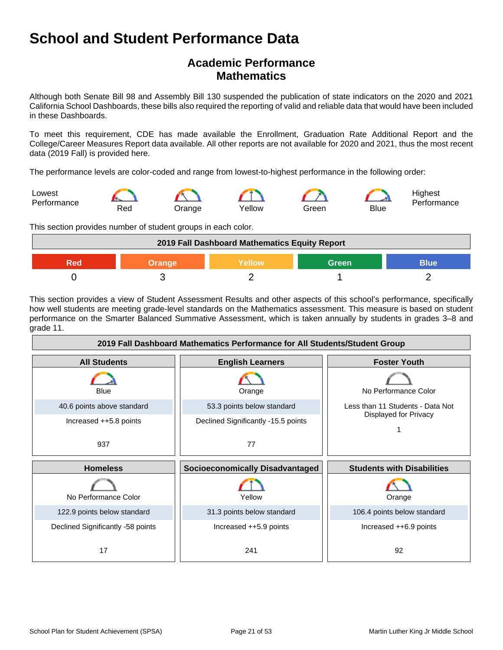## **Academic Performance Mathematics**

Although both Senate Bill 98 and Assembly Bill 130 suspended the publication of state indicators on the 2020 and 2021 California School Dashboards, these bills also required the reporting of valid and reliable data that would have been included in these Dashboards.

To meet this requirement, CDE has made available the Enrollment, Graduation Rate Additional Report and the College/Career Measures Report data available. All other reports are not available for 2020 and 2021, thus the most recent data (2019 Fall) is provided here.

The performance levels are color-coded and range from lowest-to-highest performance in the following order:



This section provides number of student groups in each color.

| 2019 Fall Dashboard Mathematics Equity Report   |  |  |  |  |
|-------------------------------------------------|--|--|--|--|
| <b>Blue</b><br>Green<br>Yellow<br>Orange<br>200 |  |  |  |  |
|                                                 |  |  |  |  |

This section provides a view of Student Assessment Results and other aspects of this school's performance, specifically how well students are meeting grade-level standards on the Mathematics assessment. This measure is based on student performance on the Smarter Balanced Summative Assessment, which is taken annually by students in grades 3–8 and grade 11.

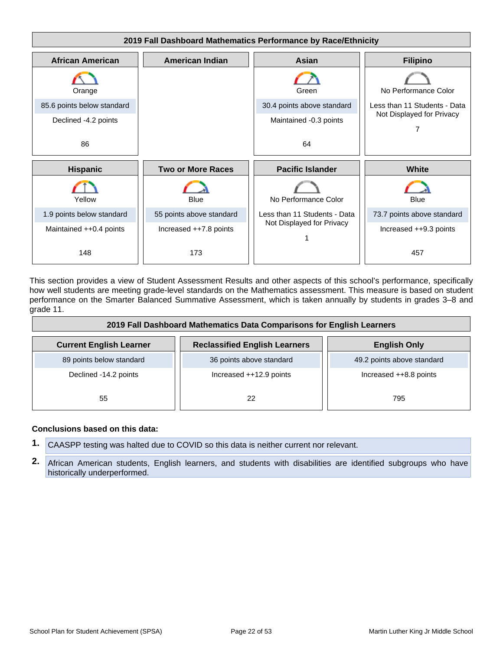

This section provides a view of Student Assessment Results and other aspects of this school's performance, specifically how well students are meeting grade-level standards on the Mathematics assessment. This measure is based on student performance on the Smarter Balanced Summative Assessment, which is taken annually by students in grades 3–8 and grade 11.

| 2019 Fall Dashboard Mathematics Data Comparisons for English Learners |                                      |                            |  |
|-----------------------------------------------------------------------|--------------------------------------|----------------------------|--|
| <b>Current English Learner</b>                                        | <b>Reclassified English Learners</b> | <b>English Only</b>        |  |
| 89 points below standard                                              | 36 points above standard             | 49.2 points above standard |  |
| Declined -14.2 points                                                 | Increased ++12.9 points              | Increased ++8.8 points     |  |
| 55                                                                    | 22                                   | 795                        |  |

#### **Conclusions based on this data:**

- **1.** CAASPP testing was halted due to COVID so this data is neither current nor relevant.
- **2.** African American students, English learners, and students with disabilities are identified subgroups who have historically underperformed.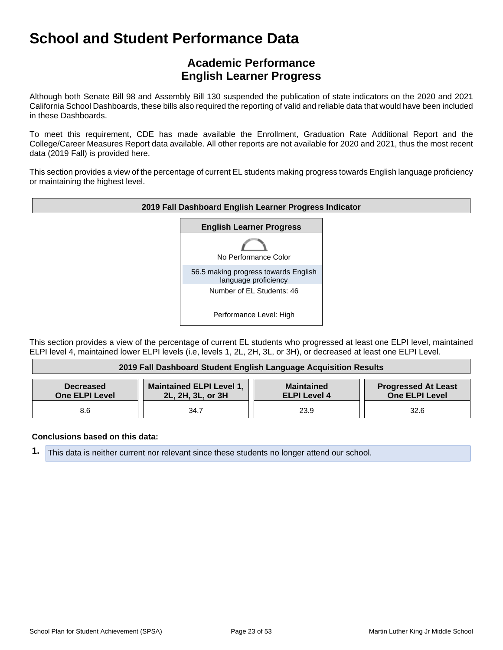## **Academic Performance English Learner Progress**

Although both Senate Bill 98 and Assembly Bill 130 suspended the publication of state indicators on the 2020 and 2021 California School Dashboards, these bills also required the reporting of valid and reliable data that would have been included in these Dashboards.

To meet this requirement, CDE has made available the Enrollment, Graduation Rate Additional Report and the College/Career Measures Report data available. All other reports are not available for 2020 and 2021, thus the most recent data (2019 Fall) is provided here.

This section provides a view of the percentage of current EL students making progress towards English language proficiency or maintaining the highest level.



This section provides a view of the percentage of current EL students who progressed at least one ELPI level, maintained ELPI level 4, maintained lower ELPI levels (i.e, levels 1, 2L, 2H, 3L, or 3H), or decreased at least one ELPI Level.

| 2019 Fall Dashboard Student English Language Acquisition Results                                                                                                                                     |      |      |      |
|------------------------------------------------------------------------------------------------------------------------------------------------------------------------------------------------------|------|------|------|
| <b>Maintained ELPI Level 1,</b><br><b>Progressed At Least</b><br><b>Maintained</b><br><b>Decreased</b><br><b>One ELPI Level</b><br>2L, 2H, 3L, or 3H<br><b>One ELPI Level</b><br><b>ELPI Level 4</b> |      |      |      |
| 8.6                                                                                                                                                                                                  | 34.7 | 23.9 | 32.6 |

#### **Conclusions based on this data:**

**1.** This data is neither current nor relevant since these students no longer attend our school.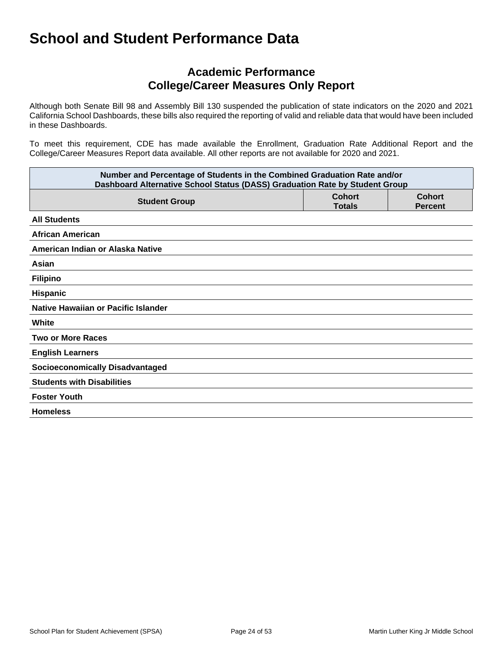### **Academic Performance College/Career Measures Only Report**

Although both Senate Bill 98 and Assembly Bill 130 suspended the publication of state indicators on the 2020 and 2021 California School Dashboards, these bills also required the reporting of valid and reliable data that would have been included in these Dashboards.

To meet this requirement, CDE has made available the Enrollment, Graduation Rate Additional Report and the College/Career Measures Report data available. All other reports are not available for 2020 and 2021.

| Number and Percentage of Students in the Combined Graduation Rate and/or<br>Dashboard Alternative School Status (DASS) Graduation Rate by Student Group |                                |                                 |  |
|---------------------------------------------------------------------------------------------------------------------------------------------------------|--------------------------------|---------------------------------|--|
| <b>Student Group</b>                                                                                                                                    | <b>Cohort</b><br><b>Totals</b> | <b>Cohort</b><br><b>Percent</b> |  |
| <b>All Students</b>                                                                                                                                     |                                |                                 |  |
| <b>African American</b>                                                                                                                                 |                                |                                 |  |
| American Indian or Alaska Native                                                                                                                        |                                |                                 |  |
| Asian                                                                                                                                                   |                                |                                 |  |
| <b>Filipino</b>                                                                                                                                         |                                |                                 |  |
| Hispanic                                                                                                                                                |                                |                                 |  |
| Native Hawaiian or Pacific Islander                                                                                                                     |                                |                                 |  |
| White                                                                                                                                                   |                                |                                 |  |
| <b>Two or More Races</b>                                                                                                                                |                                |                                 |  |
| <b>English Learners</b>                                                                                                                                 |                                |                                 |  |
| <b>Socioeconomically Disadvantaged</b>                                                                                                                  |                                |                                 |  |
| <b>Students with Disabilities</b>                                                                                                                       |                                |                                 |  |
| <b>Foster Youth</b>                                                                                                                                     |                                |                                 |  |
| <b>Homeless</b>                                                                                                                                         |                                |                                 |  |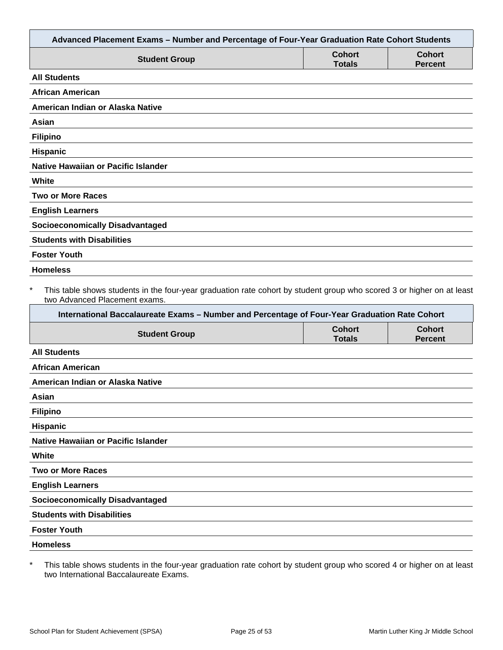| Advanced Placement Exams - Number and Percentage of Four-Year Graduation Rate Cohort Students                                                                                                                                                           |                                |                                 |
|---------------------------------------------------------------------------------------------------------------------------------------------------------------------------------------------------------------------------------------------------------|--------------------------------|---------------------------------|
| <b>Student Group</b>                                                                                                                                                                                                                                    | <b>Cohort</b><br><b>Totals</b> | <b>Cohort</b><br><b>Percent</b> |
| <b>All Students</b>                                                                                                                                                                                                                                     |                                |                                 |
| <b>African American</b>                                                                                                                                                                                                                                 |                                |                                 |
| American Indian or Alaska Native                                                                                                                                                                                                                        |                                |                                 |
| Asian                                                                                                                                                                                                                                                   |                                |                                 |
| <b>Filipino</b>                                                                                                                                                                                                                                         |                                |                                 |
| Hispanic                                                                                                                                                                                                                                                |                                |                                 |
| <b>Native Hawaiian or Pacific Islander</b>                                                                                                                                                                                                              |                                |                                 |
| White                                                                                                                                                                                                                                                   |                                |                                 |
| <b>Two or More Races</b>                                                                                                                                                                                                                                |                                |                                 |
| <b>English Learners</b>                                                                                                                                                                                                                                 |                                |                                 |
| <b>Socioeconomically Disadvantaged</b>                                                                                                                                                                                                                  |                                |                                 |
| <b>Students with Disabilities</b>                                                                                                                                                                                                                       |                                |                                 |
| <b>Foster Youth</b>                                                                                                                                                                                                                                     |                                |                                 |
| <b>Homeless</b>                                                                                                                                                                                                                                         |                                |                                 |
| This table shows students in the four-year graduation rate cohort by student group who scored 3 or higher on at least<br>two Advanced Placement exams.<br>International Baccalaureate Exams - Number and Percentage of Four-Year Graduation Rate Cohort |                                |                                 |
| <b>Student Group</b>                                                                                                                                                                                                                                    | <b>Cohort</b><br><b>Totals</b> | <b>Cohort</b><br><b>Percent</b> |
| <b>All Students</b>                                                                                                                                                                                                                                     |                                |                                 |
| <b>African American</b>                                                                                                                                                                                                                                 |                                |                                 |
| American Indian or Alaska Native                                                                                                                                                                                                                        |                                |                                 |
| Asian                                                                                                                                                                                                                                                   |                                |                                 |
| <b>Filipino</b>                                                                                                                                                                                                                                         |                                |                                 |
| Hispanic                                                                                                                                                                                                                                                |                                |                                 |
| <b>Native Hawaiian or Pacific Islander</b>                                                                                                                                                                                                              |                                |                                 |
| White                                                                                                                                                                                                                                                   |                                |                                 |
| <b>Two or More Races</b>                                                                                                                                                                                                                                |                                |                                 |
| <b>English Learners</b>                                                                                                                                                                                                                                 |                                |                                 |
| <b>Socioeconomically Disadvantaged</b>                                                                                                                                                                                                                  |                                |                                 |
| <b>Students with Disabilities</b>                                                                                                                                                                                                                       |                                |                                 |
| <b>Foster Youth</b>                                                                                                                                                                                                                                     |                                |                                 |
|                                                                                                                                                                                                                                                         |                                |                                 |
| <b>Homeless</b>                                                                                                                                                                                                                                         |                                |                                 |

\* This table shows students in the four-year graduation rate cohort by student group who scored 4 or higher on at least two International Baccalaureate Exams.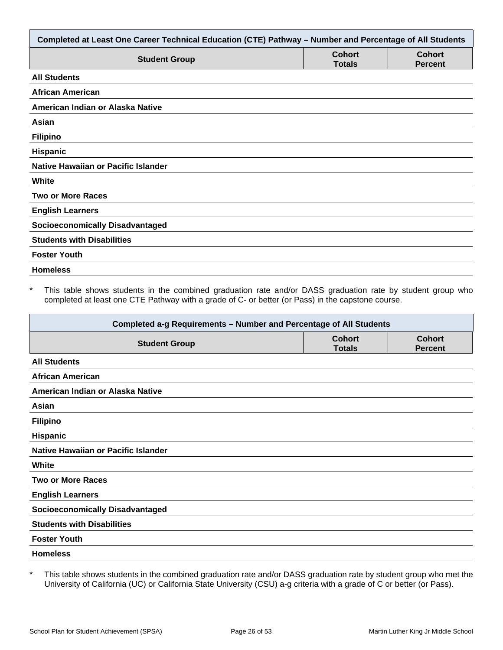| Completed at Least One Career Technical Education (CTE) Pathway - Number and Percentage of All Students |                                |                                 |  |
|---------------------------------------------------------------------------------------------------------|--------------------------------|---------------------------------|--|
| <b>Student Group</b>                                                                                    | <b>Cohort</b><br><b>Totals</b> | <b>Cohort</b><br><b>Percent</b> |  |
| <b>All Students</b>                                                                                     |                                |                                 |  |
| African American                                                                                        |                                |                                 |  |
| American Indian or Alaska Native                                                                        |                                |                                 |  |
| Asian                                                                                                   |                                |                                 |  |
| <b>Filipino</b>                                                                                         |                                |                                 |  |
| <b>Hispanic</b>                                                                                         |                                |                                 |  |
| <b>Native Hawaiian or Pacific Islander</b>                                                              |                                |                                 |  |
| White                                                                                                   |                                |                                 |  |
| <b>Two or More Races</b>                                                                                |                                |                                 |  |
| <b>English Learners</b>                                                                                 |                                |                                 |  |
| <b>Socioeconomically Disadvantaged</b>                                                                  |                                |                                 |  |
| <b>Students with Disabilities</b>                                                                       |                                |                                 |  |
| <b>Foster Youth</b>                                                                                     |                                |                                 |  |
| <b>Homeless</b>                                                                                         |                                |                                 |  |

This table shows students in the combined graduation rate and/or DASS graduation rate by student group who completed at least one CTE Pathway with a grade of C- or better (or Pass) in the capstone course.

| Completed a-g Requirements - Number and Percentage of All Students |                                |                                 |  |
|--------------------------------------------------------------------|--------------------------------|---------------------------------|--|
| <b>Student Group</b>                                               | <b>Cohort</b><br><b>Totals</b> | <b>Cohort</b><br><b>Percent</b> |  |
| <b>All Students</b>                                                |                                |                                 |  |
| <b>African American</b>                                            |                                |                                 |  |
| American Indian or Alaska Native                                   |                                |                                 |  |
| Asian                                                              |                                |                                 |  |
| <b>Filipino</b>                                                    |                                |                                 |  |
| <b>Hispanic</b>                                                    |                                |                                 |  |
| Native Hawaiian or Pacific Islander                                |                                |                                 |  |
| White                                                              |                                |                                 |  |
| <b>Two or More Races</b>                                           |                                |                                 |  |
| <b>English Learners</b>                                            |                                |                                 |  |
| <b>Socioeconomically Disadvantaged</b>                             |                                |                                 |  |
| <b>Students with Disabilities</b>                                  |                                |                                 |  |
| <b>Foster Youth</b>                                                |                                |                                 |  |
| <b>Homeless</b>                                                    |                                |                                 |  |

\* This table shows students in the combined graduation rate and/or DASS graduation rate by student group who met the University of California (UC) or California State University (CSU) a-g criteria with a grade of C or better (or Pass).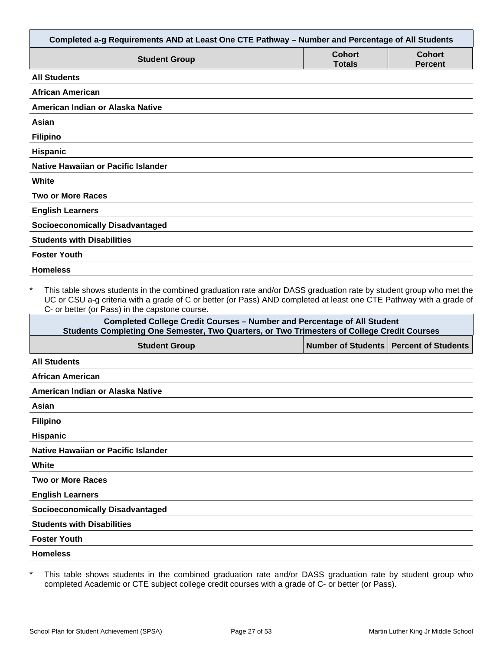| Completed a-g Requirements AND at Least One CTE Pathway - Number and Percentage of All Students                                                                                                                                                                                                        |                                |                                 |
|--------------------------------------------------------------------------------------------------------------------------------------------------------------------------------------------------------------------------------------------------------------------------------------------------------|--------------------------------|---------------------------------|
| <b>Student Group</b>                                                                                                                                                                                                                                                                                   | <b>Cohort</b><br><b>Totals</b> | <b>Cohort</b><br><b>Percent</b> |
| <b>All Students</b>                                                                                                                                                                                                                                                                                    |                                |                                 |
| <b>African American</b>                                                                                                                                                                                                                                                                                |                                |                                 |
| American Indian or Alaska Native                                                                                                                                                                                                                                                                       |                                |                                 |
| Asian                                                                                                                                                                                                                                                                                                  |                                |                                 |
| <b>Filipino</b>                                                                                                                                                                                                                                                                                        |                                |                                 |
| <b>Hispanic</b>                                                                                                                                                                                                                                                                                        |                                |                                 |
| Native Hawaiian or Pacific Islander                                                                                                                                                                                                                                                                    |                                |                                 |
| White                                                                                                                                                                                                                                                                                                  |                                |                                 |
| <b>Two or More Races</b>                                                                                                                                                                                                                                                                               |                                |                                 |
| <b>English Learners</b>                                                                                                                                                                                                                                                                                |                                |                                 |
| <b>Socioeconomically Disadvantaged</b>                                                                                                                                                                                                                                                                 |                                |                                 |
| <b>Students with Disabilities</b>                                                                                                                                                                                                                                                                      |                                |                                 |
| <b>Foster Youth</b>                                                                                                                                                                                                                                                                                    |                                |                                 |
| <b>Homeless</b>                                                                                                                                                                                                                                                                                        |                                |                                 |
| $\star$<br>This table shows students in the combined graduation rate and/or DASS graduation rate by student group who met the<br>UC or CSU a-g criteria with a grade of C or better (or Pass) AND completed at least one CTE Pathway with a grade of<br>C- or better (or Pass) in the capstone course. |                                |                                 |
| <b>Completed College Credit Courses - Number and Percentage of All Student</b><br>Students Completing One Semester, Two Quarters, or Two Trimesters of College Credit Courses                                                                                                                          |                                |                                 |
| <b>Student Group</b>                                                                                                                                                                                                                                                                                   | <b>Number of Students</b>      | <b>Percent of Students</b>      |
| <b>All Students</b>                                                                                                                                                                                                                                                                                    |                                |                                 |
| African American                                                                                                                                                                                                                                                                                       |                                |                                 |
| American Indian or Alaska Native                                                                                                                                                                                                                                                                       |                                |                                 |
| Asian                                                                                                                                                                                                                                                                                                  |                                |                                 |

**Hispanic**

**Native Hawaiian or Pacific Islander**

**White**

**Two or More Races**

**English Learners**

**Socioeconomically Disadvantaged**

**Students with Disabilities**

**Foster Youth**

**Homeless**

\* This table shows students in the combined graduation rate and/or DASS graduation rate by student group who completed Academic or CTE subject college credit courses with a grade of C- or better (or Pass).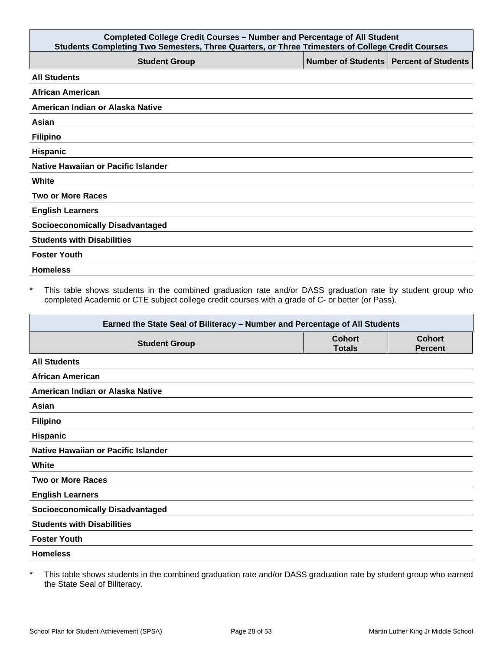| <b>Completed College Credit Courses - Number and Percentage of All Student</b><br>Students Completing Two Semesters, Three Quarters, or Three Trimesters of College Credit Courses |                                          |  |  |
|------------------------------------------------------------------------------------------------------------------------------------------------------------------------------------|------------------------------------------|--|--|
| <b>Student Group</b>                                                                                                                                                               | Number of Students   Percent of Students |  |  |
| <b>All Students</b>                                                                                                                                                                |                                          |  |  |
| <b>African American</b>                                                                                                                                                            |                                          |  |  |
| American Indian or Alaska Native                                                                                                                                                   |                                          |  |  |
| Asian                                                                                                                                                                              |                                          |  |  |
| <b>Filipino</b>                                                                                                                                                                    |                                          |  |  |
| Hispanic                                                                                                                                                                           |                                          |  |  |
| Native Hawaiian or Pacific Islander                                                                                                                                                |                                          |  |  |
| White                                                                                                                                                                              |                                          |  |  |
| <b>Two or More Races</b>                                                                                                                                                           |                                          |  |  |
| <b>English Learners</b>                                                                                                                                                            |                                          |  |  |
| <b>Socioeconomically Disadvantaged</b>                                                                                                                                             |                                          |  |  |
| <b>Students with Disabilities</b>                                                                                                                                                  |                                          |  |  |
| <b>Foster Youth</b>                                                                                                                                                                |                                          |  |  |
| <b>Homeless</b>                                                                                                                                                                    |                                          |  |  |

\* This table shows students in the combined graduation rate and/or DASS graduation rate by student group who completed Academic or CTE subject college credit courses with a grade of C- or better (or Pass).

| Earned the State Seal of Biliteracy - Number and Percentage of All Students |                                |                                 |  |
|-----------------------------------------------------------------------------|--------------------------------|---------------------------------|--|
| <b>Student Group</b>                                                        | <b>Cohort</b><br><b>Totals</b> | <b>Cohort</b><br><b>Percent</b> |  |
| <b>All Students</b>                                                         |                                |                                 |  |
| <b>African American</b>                                                     |                                |                                 |  |
| American Indian or Alaska Native                                            |                                |                                 |  |
| Asian                                                                       |                                |                                 |  |
| <b>Filipino</b>                                                             |                                |                                 |  |
| Hispanic                                                                    |                                |                                 |  |
| Native Hawaiian or Pacific Islander                                         |                                |                                 |  |
| White                                                                       |                                |                                 |  |
| <b>Two or More Races</b>                                                    |                                |                                 |  |
| <b>English Learners</b>                                                     |                                |                                 |  |
| <b>Socioeconomically Disadvantaged</b>                                      |                                |                                 |  |
| <b>Students with Disabilities</b>                                           |                                |                                 |  |
| <b>Foster Youth</b>                                                         |                                |                                 |  |
| <b>Homeless</b>                                                             |                                |                                 |  |

\* This table shows students in the combined graduation rate and/or DASS graduation rate by student group who earned the State Seal of Biliteracy.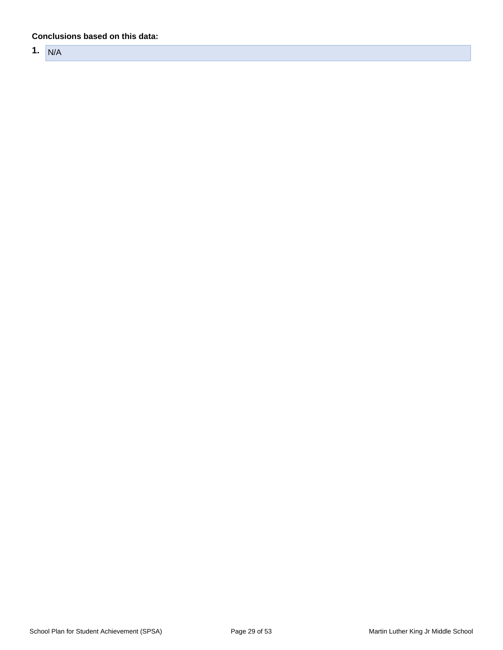#### **Conclusions based on this data:**

**1.** N/A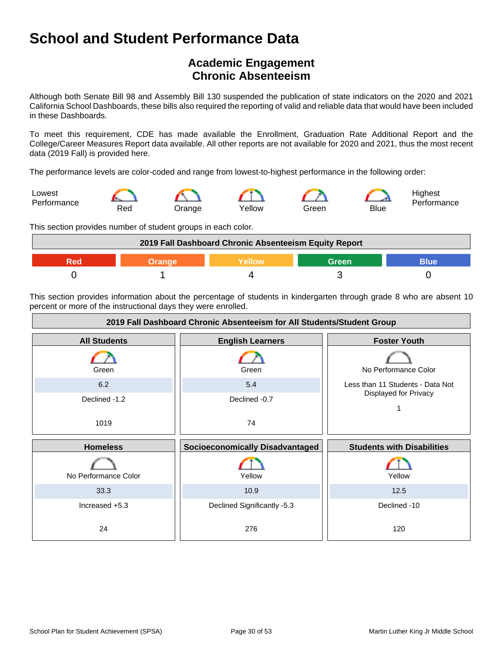## **Academic Engagement Chronic Absenteeism**

Although both Senate Bill 98 and Assembly Bill 130 suspended the publication of state indicators on the 2020 and 2021 California School Dashboards, these bills also required the reporting of valid and reliable data that would have been included in these Dashboards.

To meet this requirement, CDE has made available the Enrollment, Graduation Rate Additional Report and the College/Career Measures Report data available. All other reports are not available for 2020 and 2021, thus the most recent data (2019 Fall) is provided here.

The performance levels are color-coded and range from lowest-to-highest performance in the following order:



This section provides number of student groups in each color.

| 2019 Fall Dashboard Chronic Absenteeism Equity Report |  |  |       |      |
|-------------------------------------------------------|--|--|-------|------|
|                                                       |  |  | Green | Blue |
|                                                       |  |  |       |      |

This section provides information about the percentage of students in kindergarten through grade 8 who are absent 10 percent or more of the instructional days they were enrolled.

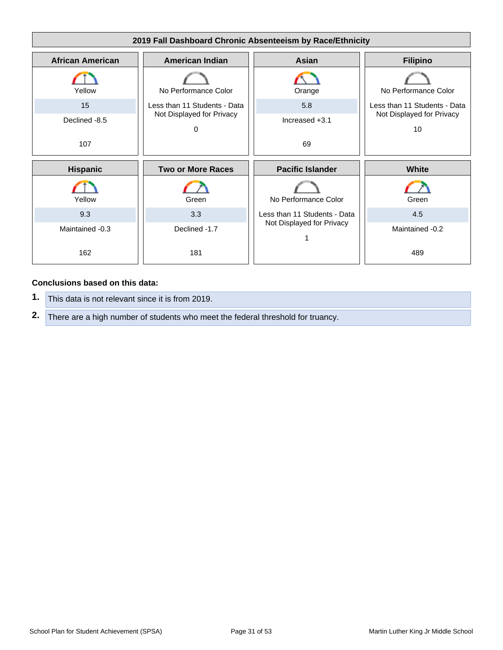

#### **Conclusions based on this data:**

- **1.** This data is not relevant since it is from 2019.
- **2.** There are a high number of students who meet the federal threshold for truancy.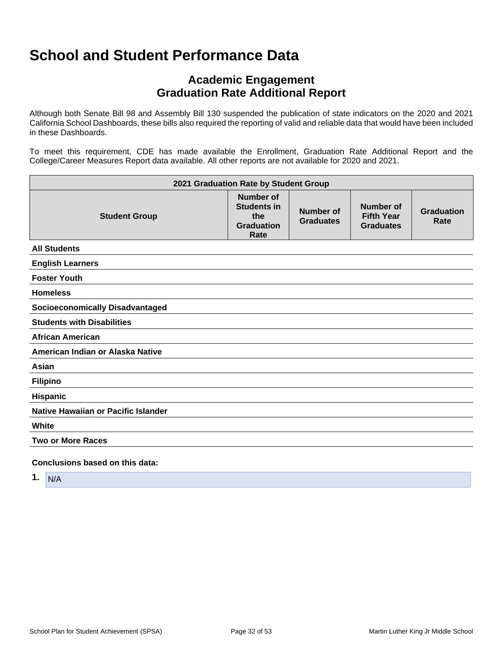## **Academic Engagement Graduation Rate Additional Report**

Although both Senate Bill 98 and Assembly Bill 130 suspended the publication of state indicators on the 2020 and 2021 California School Dashboards, these bills also required the reporting of valid and reliable data that would have been included in these Dashboards.

To meet this requirement, CDE has made available the Enrollment, Graduation Rate Additional Report and the College/Career Measures Report data available. All other reports are not available for 2020 and 2021.

| 2021 Graduation Rate by Student Group  |                                                                            |                               |                                                           |                           |
|----------------------------------------|----------------------------------------------------------------------------|-------------------------------|-----------------------------------------------------------|---------------------------|
| <b>Student Group</b>                   | <b>Number of</b><br><b>Students in</b><br>the<br><b>Graduation</b><br>Rate | Number of<br><b>Graduates</b> | <b>Number of</b><br><b>Fifth Year</b><br><b>Graduates</b> | <b>Graduation</b><br>Rate |
| <b>All Students</b>                    |                                                                            |                               |                                                           |                           |
| <b>English Learners</b>                |                                                                            |                               |                                                           |                           |
| <b>Foster Youth</b>                    |                                                                            |                               |                                                           |                           |
| <b>Homeless</b>                        |                                                                            |                               |                                                           |                           |
| <b>Socioeconomically Disadvantaged</b> |                                                                            |                               |                                                           |                           |
| <b>Students with Disabilities</b>      |                                                                            |                               |                                                           |                           |
| <b>African American</b>                |                                                                            |                               |                                                           |                           |
| American Indian or Alaska Native       |                                                                            |                               |                                                           |                           |
| Asian                                  |                                                                            |                               |                                                           |                           |
| <b>Filipino</b>                        |                                                                            |                               |                                                           |                           |
| <b>Hispanic</b>                        |                                                                            |                               |                                                           |                           |
| Native Hawaiian or Pacific Islander    |                                                                            |                               |                                                           |                           |
| White                                  |                                                                            |                               |                                                           |                           |
| <b>Two or More Races</b>               |                                                                            |                               |                                                           |                           |
| Conclusions based on this data:        |                                                                            |                               |                                                           |                           |

**1.** N/A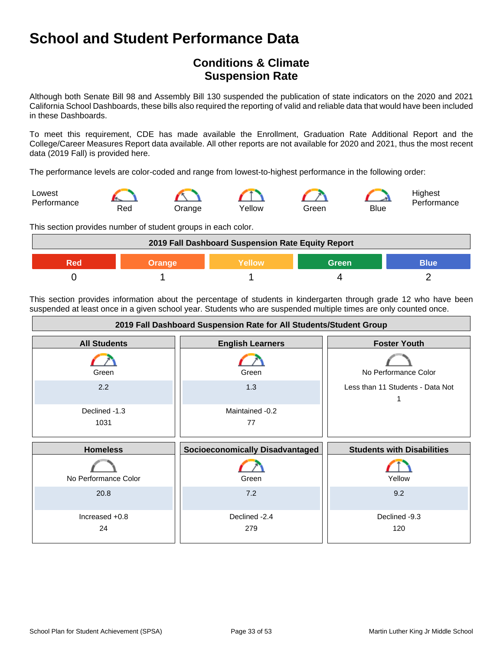## **Conditions & Climate Suspension Rate**

Although both Senate Bill 98 and Assembly Bill 130 suspended the publication of state indicators on the 2020 and 2021 California School Dashboards, these bills also required the reporting of valid and reliable data that would have been included in these Dashboards.

To meet this requirement, CDE has made available the Enrollment, Graduation Rate Additional Report and the College/Career Measures Report data available. All other reports are not available for 2020 and 2021, thus the most recent data (2019 Fall) is provided here.

The performance levels are color-coded and range from lowest-to-highest performance in the following order:



This section provides number of student groups in each color.



This section provides information about the percentage of students in kindergarten through grade 12 who have been suspended at least once in a given school year. Students who are suspended multiple times are only counted once.

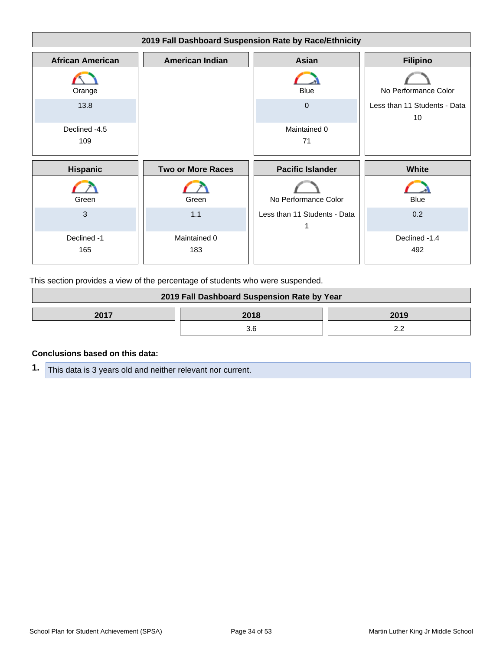

This section provides a view of the percentage of students who were suspended.

| 2019 Fall Dashboard Suspension Rate by Year |  |  |
|---------------------------------------------|--|--|
| 2017<br>2018<br>2019                        |  |  |
|                                             |  |  |

#### **Conclusions based on this data:**

**1.** This data is 3 years old and neither relevant nor current.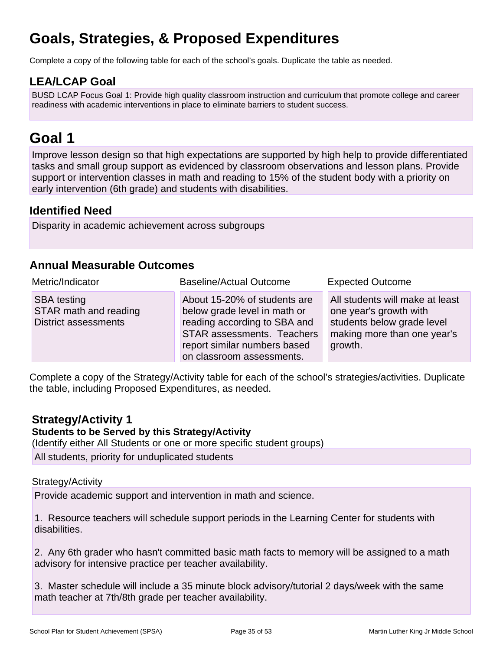## **Goals, Strategies, & Proposed Expenditures**

Complete a copy of the following table for each of the school's goals. Duplicate the table as needed.

## **LEA/LCAP Goal**

BUSD LCAP Focus Goal 1: Provide high quality classroom instruction and curriculum that promote college and career readiness with academic interventions in place to eliminate barriers to student success.

## **Goal 1**

Improve lesson design so that high expectations are supported by high help to provide differentiated tasks and small group support as evidenced by classroom observations and lesson plans. Provide support or intervention classes in math and reading to 15% of the student body with a priority on early intervention (6th grade) and students with disabilities.

### **Identified Need**

Disparity in academic achievement across subgroups

### **Annual Measurable Outcomes**

| Metric/Indicator                                                           | <b>Baseline/Actual Outcome</b>                                                                                                                                                                 | <b>Expected Outcome</b>                                                                                                           |
|----------------------------------------------------------------------------|------------------------------------------------------------------------------------------------------------------------------------------------------------------------------------------------|-----------------------------------------------------------------------------------------------------------------------------------|
| <b>SBA testing</b><br>STAR math and reading<br><b>District assessments</b> | About 15-20% of students are<br>below grade level in math or<br>reading according to SBA and<br><b>STAR assessments. Teachers</b><br>report similar numbers based<br>on classroom assessments. | All students will make at least<br>one year's growth with<br>students below grade level<br>making more than one year's<br>growth. |

Complete a copy of the Strategy/Activity table for each of the school's strategies/activities. Duplicate the table, including Proposed Expenditures, as needed.

### **Strategy/Activity 1**

#### **Students to be Served by this Strategy/Activity**

(Identify either All Students or one or more specific student groups)

All students, priority for unduplicated students

#### Strategy/Activity

Provide academic support and intervention in math and science.

1. Resource teachers will schedule support periods in the Learning Center for students with disabilities.

2. Any 6th grader who hasn't committed basic math facts to memory will be assigned to a math advisory for intensive practice per teacher availability.

3. Master schedule will include a 35 minute block advisory/tutorial 2 days/week with the same math teacher at 7th/8th grade per teacher availability.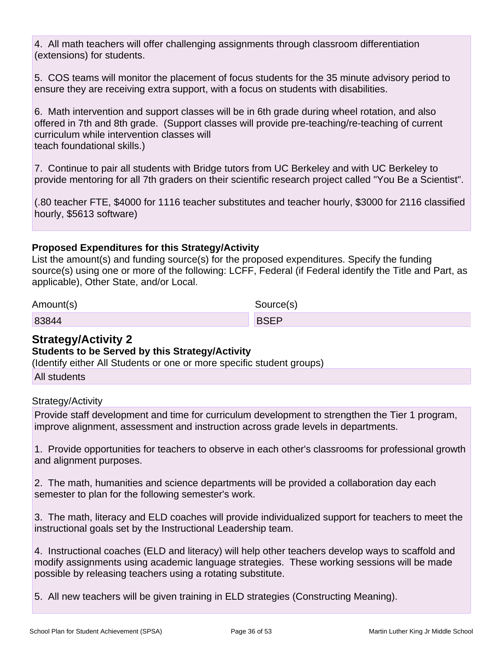4. All math teachers will offer challenging assignments through classroom differentiation (extensions) for students.

5. COS teams will monitor the placement of focus students for the 35 minute advisory period to ensure they are receiving extra support, with a focus on students with disabilities.

6. Math intervention and support classes will be in 6th grade during wheel rotation, and also offered in 7th and 8th grade. (Support classes will provide pre-teaching/re-teaching of current curriculum while intervention classes will teach foundational skills.)

7. Continue to pair all students with Bridge tutors from UC Berkeley and with UC Berkeley to provide mentoring for all 7th graders on their scientific research project called "You Be a Scientist".

(.80 teacher FTE, \$4000 for 1116 teacher substitutes and teacher hourly, \$3000 for 2116 classified hourly, \$5613 software)

#### **Proposed Expenditures for this Strategy/Activity**

List the amount(s) and funding source(s) for the proposed expenditures. Specify the funding source(s) using one or more of the following: LCFF, Federal (if Federal identify the Title and Part, as applicable), Other State, and/or Local.

| Amount(s) | Source(s)   |
|-----------|-------------|
| 83844     | <b>BSEP</b> |

### **Strategy/Activity 2**

#### **Students to be Served by this Strategy/Activity**

(Identify either All Students or one or more specific student groups)

All students

#### Strategy/Activity

Provide staff development and time for curriculum development to strengthen the Tier 1 program, improve alignment, assessment and instruction across grade levels in departments.

1. Provide opportunities for teachers to observe in each other's classrooms for professional growth and alignment purposes.

2. The math, humanities and science departments will be provided a collaboration day each semester to plan for the following semester's work.

3. The math, literacy and ELD coaches will provide individualized support for teachers to meet the instructional goals set by the Instructional Leadership team.

4. Instructional coaches (ELD and literacy) will help other teachers develop ways to scaffold and modify assignments using academic language strategies. These working sessions will be made possible by releasing teachers using a rotating substitute.

5. All new teachers will be given training in ELD strategies (Constructing Meaning).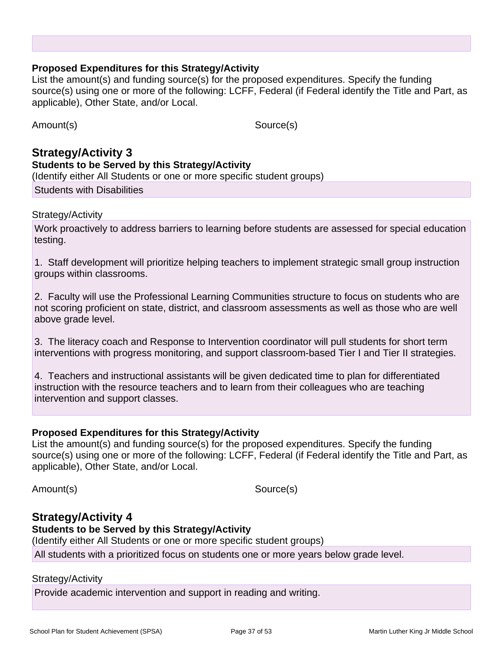#### **Proposed Expenditures for this Strategy/Activity**

List the amount(s) and funding source(s) for the proposed expenditures. Specify the funding source(s) using one or more of the following: LCFF, Federal (if Federal identify the Title and Part, as applicable), Other State, and/or Local.

Amount(s) Source(s)

### **Strategy/Activity 3 Students to be Served by this Strategy/Activity** (Identify either All Students or one or more specific student groups)

Students with Disabilities

#### Strategy/Activity

Work proactively to address barriers to learning before students are assessed for special education testing.

1. Staff development will prioritize helping teachers to implement strategic small group instruction groups within classrooms.

2. Faculty will use the Professional Learning Communities structure to focus on students who are not scoring proficient on state, district, and classroom assessments as well as those who are well above grade level.

3. The literacy coach and Response to Intervention coordinator will pull students for short term interventions with progress monitoring, and support classroom-based Tier I and Tier II strategies.

4. Teachers and instructional assistants will be given dedicated time to plan for differentiated instruction with the resource teachers and to learn from their colleagues who are teaching intervention and support classes.

#### **Proposed Expenditures for this Strategy/Activity**

List the amount(s) and funding source(s) for the proposed expenditures. Specify the funding source(s) using one or more of the following: LCFF, Federal (if Federal identify the Title and Part, as applicable), Other State, and/or Local.

Amount(s) Source(s)

### **Strategy/Activity 4**

#### **Students to be Served by this Strategy/Activity**

(Identify either All Students or one or more specific student groups)

All students with a prioritized focus on students one or more years below grade level.

Strategy/Activity

Provide academic intervention and support in reading and writing.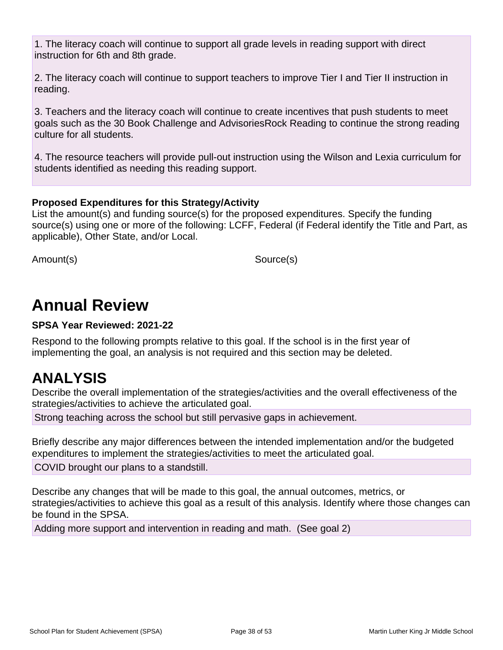1. The literacy coach will continue to support all grade levels in reading support with direct instruction for 6th and 8th grade.

2. The literacy coach will continue to support teachers to improve Tier I and Tier II instruction in reading.

3. Teachers and the literacy coach will continue to create incentives that push students to meet goals such as the 30 Book Challenge and AdvisoriesRock Reading to continue the strong reading culture for all students.

4. The resource teachers will provide pull-out instruction using the Wilson and Lexia curriculum for students identified as needing this reading support.

### **Proposed Expenditures for this Strategy/Activity**

List the amount(s) and funding source(s) for the proposed expenditures. Specify the funding source(s) using one or more of the following: LCFF, Federal (if Federal identify the Title and Part, as applicable), Other State, and/or Local.

Amount(s) Source(s)

## **Annual Review**

#### **SPSA Year Reviewed: 2021-22**

Respond to the following prompts relative to this goal. If the school is in the first year of implementing the goal, an analysis is not required and this section may be deleted.

## **ANALYSIS**

Describe the overall implementation of the strategies/activities and the overall effectiveness of the strategies/activities to achieve the articulated goal.

Strong teaching across the school but still pervasive gaps in achievement.

Briefly describe any major differences between the intended implementation and/or the budgeted expenditures to implement the strategies/activities to meet the articulated goal.

COVID brought our plans to a standstill.

Describe any changes that will be made to this goal, the annual outcomes, metrics, or strategies/activities to achieve this goal as a result of this analysis. Identify where those changes can be found in the SPSA.

Adding more support and intervention in reading and math. (See goal 2)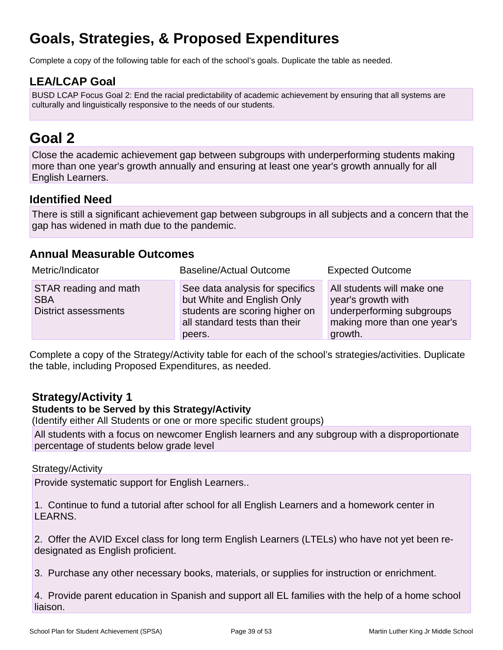## **Goals, Strategies, & Proposed Expenditures**

Complete a copy of the following table for each of the school's goals. Duplicate the table as needed.

## **LEA/LCAP Goal**

BUSD LCAP Focus Goal 2: End the racial predictability of academic achievement by ensuring that all systems are culturally and linguistically responsive to the needs of our students.

## **Goal 2**

Close the academic achievement gap between subgroups with underperforming students making more than one year's growth annually and ensuring at least one year's growth annually for all English Learners.

### **Identified Need**

There is still a significant achievement gap between subgroups in all subjects and a concern that the gap has widened in math due to the pandemic.

### **Annual Measurable Outcomes**

| Metric/Indicator                                                   | <b>Baseline/Actual Outcome</b>                                                                                                             | <b>Expected Outcome</b>                                                                                                 |
|--------------------------------------------------------------------|--------------------------------------------------------------------------------------------------------------------------------------------|-------------------------------------------------------------------------------------------------------------------------|
| STAR reading and math<br><b>SBA</b><br><b>District assessments</b> | See data analysis for specifics<br>but White and English Only<br>students are scoring higher on<br>all standard tests than their<br>peers. | All students will make one<br>year's growth with<br>underperforming subgroups<br>making more than one year's<br>growth. |

Complete a copy of the Strategy/Activity table for each of the school's strategies/activities. Duplicate the table, including Proposed Expenditures, as needed.

## **Strategy/Activity 1**

#### **Students to be Served by this Strategy/Activity**

(Identify either All Students or one or more specific student groups)

All students with a focus on newcomer English learners and any subgroup with a disproportionate percentage of students below grade level

#### Strategy/Activity

Provide systematic support for English Learners..

1. Continue to fund a tutorial after school for all English Learners and a homework center in LEARNS.

2. Offer the AVID Excel class for long term English Learners (LTELs) who have not yet been redesignated as English proficient.

3. Purchase any other necessary books, materials, or supplies for instruction or enrichment.

4. Provide parent education in Spanish and support all EL families with the help of a home school liaison.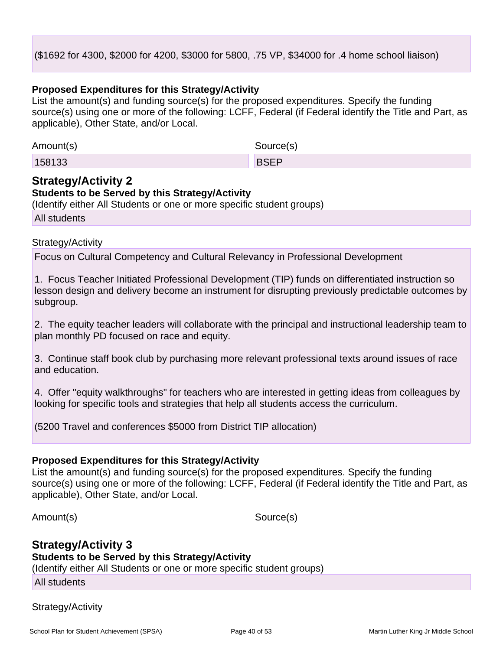#### (\$1692 for 4300, \$2000 for 4200, \$3000 for 5800, .75 VP, \$34000 for .4 home school liaison)

#### **Proposed Expenditures for this Strategy/Activity**

List the amount(s) and funding source(s) for the proposed expenditures. Specify the funding source(s) using one or more of the following: LCFF, Federal (if Federal identify the Title and Part, as applicable), Other State, and/or Local.

| Amount(s) | Source(s)   |
|-----------|-------------|
| 158133    | <b>BSEP</b> |

### **Strategy/Activity 2**

#### **Students to be Served by this Strategy/Activity**

(Identify either All Students or one or more specific student groups)

All students

#### Strategy/Activity

Focus on Cultural Competency and Cultural Relevancy in Professional Development

1. Focus Teacher Initiated Professional Development (TIP) funds on differentiated instruction so lesson design and delivery become an instrument for disrupting previously predictable outcomes by subgroup.

2. The equity teacher leaders will collaborate with the principal and instructional leadership team to plan monthly PD focused on race and equity.

3. Continue staff book club by purchasing more relevant professional texts around issues of race and education.

4. Offer "equity walkthroughs" for teachers who are interested in getting ideas from colleagues by looking for specific tools and strategies that help all students access the curriculum.

(5200 Travel and conferences \$5000 from District TIP allocation)

#### **Proposed Expenditures for this Strategy/Activity**

List the amount(s) and funding source(s) for the proposed expenditures. Specify the funding source(s) using one or more of the following: LCFF, Federal (if Federal identify the Title and Part, as applicable), Other State, and/or Local.

Amount(s) Source(s)

### **Strategy/Activity 3 Students to be Served by this Strategy/Activity**

(Identify either All Students or one or more specific student groups)

All students

#### Strategy/Activity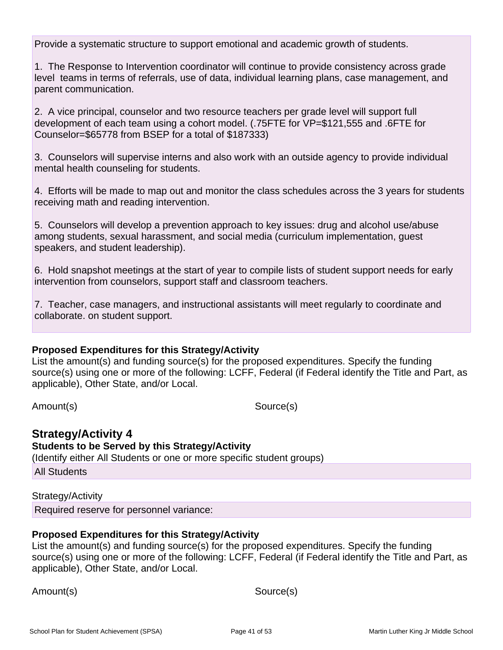Provide a systematic structure to support emotional and academic growth of students.

1. The Response to Intervention coordinator will continue to provide consistency across grade level teams in terms of referrals, use of data, individual learning plans, case management, and parent communication.

2. A vice principal, counselor and two resource teachers per grade level will support full development of each team using a cohort model. (.75FTE for VP=\$121,555 and .6FTE for Counselor=\$65778 from BSEP for a total of \$187333)

3. Counselors will supervise interns and also work with an outside agency to provide individual mental health counseling for students.

4. Efforts will be made to map out and monitor the class schedules across the 3 years for students receiving math and reading intervention.

5. Counselors will develop a prevention approach to key issues: drug and alcohol use/abuse among students, sexual harassment, and social media (curriculum implementation, guest speakers, and student leadership).

6. Hold snapshot meetings at the start of year to compile lists of student support needs for early intervention from counselors, support staff and classroom teachers.

7. Teacher, case managers, and instructional assistants will meet regularly to coordinate and collaborate. on student support.

#### **Proposed Expenditures for this Strategy/Activity**

List the amount(s) and funding source(s) for the proposed expenditures. Specify the funding source(s) using one or more of the following: LCFF, Federal (if Federal identify the Title and Part, as applicable), Other State, and/or Local.

Amount(s) Source(s)

### **Strategy/Activity 4**

**Students to be Served by this Strategy/Activity**

(Identify either All Students or one or more specific student groups)

All Students

Strategy/Activity Required reserve for personnel variance:

#### **Proposed Expenditures for this Strategy/Activity**

List the amount(s) and funding source(s) for the proposed expenditures. Specify the funding source(s) using one or more of the following: LCFF, Federal (if Federal identify the Title and Part, as applicable), Other State, and/or Local.

Amount(s) Source(s)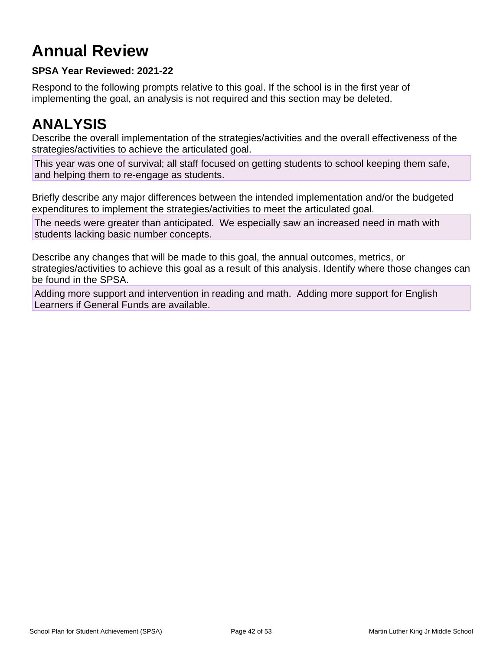## **Annual Review**

### **SPSA Year Reviewed: 2021-22**

Respond to the following prompts relative to this goal. If the school is in the first year of implementing the goal, an analysis is not required and this section may be deleted.

## **ANALYSIS**

Describe the overall implementation of the strategies/activities and the overall effectiveness of the strategies/activities to achieve the articulated goal.

This year was one of survival; all staff focused on getting students to school keeping them safe, and helping them to re-engage as students.

Briefly describe any major differences between the intended implementation and/or the budgeted expenditures to implement the strategies/activities to meet the articulated goal.

The needs were greater than anticipated. We especially saw an increased need in math with students lacking basic number concepts.

Describe any changes that will be made to this goal, the annual outcomes, metrics, or strategies/activities to achieve this goal as a result of this analysis. Identify where those changes can be found in the SPSA.

Adding more support and intervention in reading and math. Adding more support for English Learners if General Funds are available.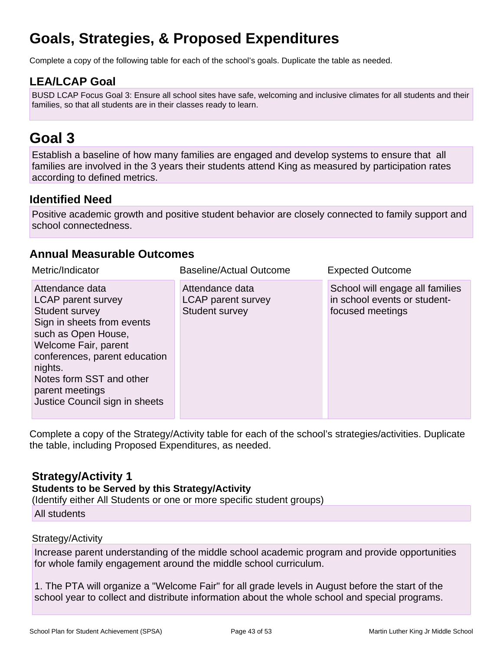## **Goals, Strategies, & Proposed Expenditures**

Complete a copy of the following table for each of the school's goals. Duplicate the table as needed.

## **LEA/LCAP Goal**

BUSD LCAP Focus Goal 3: Ensure all school sites have safe, welcoming and inclusive climates for all students and their families, so that all students are in their classes ready to learn.

## **Goal 3**

Establish a baseline of how many families are engaged and develop systems to ensure that all families are involved in the 3 years their students attend King as measured by participation rates according to defined metrics.

## **Identified Need**

Positive academic growth and positive student behavior are closely connected to family support and school connectedness.

### **Annual Measurable Outcomes**

| Metric/Indicator                                                                                                                                                                                                                                                         | <b>Baseline/Actual Outcome</b>                                        | <b>Expected Outcome</b>                                                             |
|--------------------------------------------------------------------------------------------------------------------------------------------------------------------------------------------------------------------------------------------------------------------------|-----------------------------------------------------------------------|-------------------------------------------------------------------------------------|
| Attendance data<br><b>LCAP</b> parent survey<br>Student survey<br>Sign in sheets from events<br>such as Open House,<br>Welcome Fair, parent<br>conferences, parent education<br>nights.<br>Notes form SST and other<br>parent meetings<br>Justice Council sign in sheets | Attendance data<br><b>LCAP</b> parent survey<br><b>Student survey</b> | School will engage all families<br>in school events or student-<br>focused meetings |

Complete a copy of the Strategy/Activity table for each of the school's strategies/activities. Duplicate the table, including Proposed Expenditures, as needed.

## **Strategy/Activity 1**

**Students to be Served by this Strategy/Activity**

(Identify either All Students or one or more specific student groups)

All students

#### Strategy/Activity

Increase parent understanding of the middle school academic program and provide opportunities for whole family engagement around the middle school curriculum.

1. The PTA will organize a "Welcome Fair" for all grade levels in August before the start of the school year to collect and distribute information about the whole school and special programs.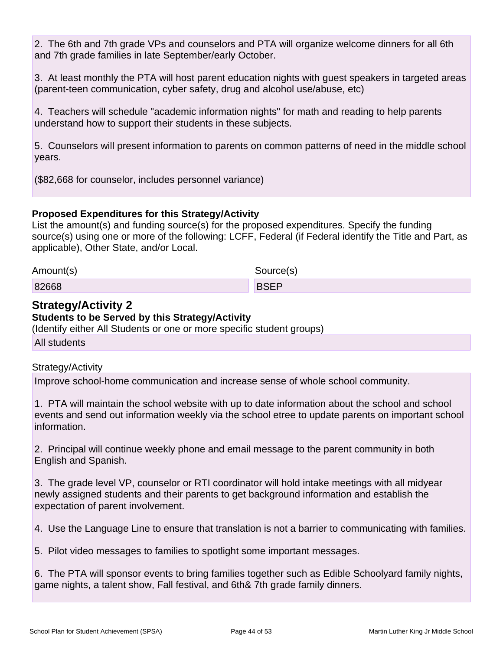2. The 6th and 7th grade VPs and counselors and PTA will organize welcome dinners for all 6th and 7th grade families in late September/early October.

3. At least monthly the PTA will host parent education nights with guest speakers in targeted areas (parent-teen communication, cyber safety, drug and alcohol use/abuse, etc)

4. Teachers will schedule "academic information nights" for math and reading to help parents understand how to support their students in these subjects.

5. Counselors will present information to parents on common patterns of need in the middle school years.

(\$82,668 for counselor, includes personnel variance)

### **Proposed Expenditures for this Strategy/Activity**

List the amount(s) and funding source(s) for the proposed expenditures. Specify the funding source(s) using one or more of the following: LCFF, Federal (if Federal identify the Title and Part, as applicable), Other State, and/or Local.

| Amount(s) | Source(s)   |
|-----------|-------------|
| 82668     | <b>BSEP</b> |

### **Strategy/Activity 2**

#### **Students to be Served by this Strategy/Activity**

(Identify either All Students or one or more specific student groups)

All students

#### Strategy/Activity

Improve school-home communication and increase sense of whole school community.

1. PTA will maintain the school website with up to date information about the school and school events and send out information weekly via the school etree to update parents on important school information.

2. Principal will continue weekly phone and email message to the parent community in both English and Spanish.

3. The grade level VP, counselor or RTI coordinator will hold intake meetings with all midyear newly assigned students and their parents to get background information and establish the expectation of parent involvement.

4. Use the Language Line to ensure that translation is not a barrier to communicating with families.

5. Pilot video messages to families to spotlight some important messages.

6. The PTA will sponsor events to bring families together such as Edible Schoolyard family nights, game nights, a talent show, Fall festival, and 6th& 7th grade family dinners.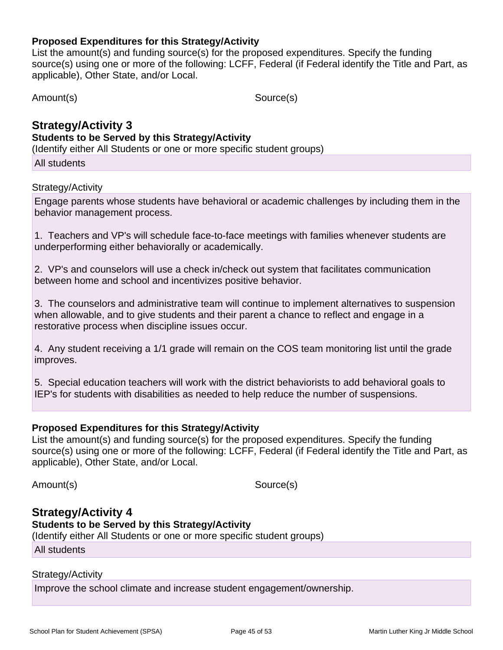#### **Proposed Expenditures for this Strategy/Activity**

List the amount(s) and funding source(s) for the proposed expenditures. Specify the funding source(s) using one or more of the following: LCFF, Federal (if Federal identify the Title and Part, as applicable), Other State, and/or Local.

Amount(s) Source(s)

## **Strategy/Activity 3 Students to be Served by this Strategy/Activity**

(Identify either All Students or one or more specific student groups)

All students

#### Strategy/Activity

Engage parents whose students have behavioral or academic challenges by including them in the behavior management process.

1. Teachers and VP's will schedule face-to-face meetings with families whenever students are underperforming either behaviorally or academically.

2. VP's and counselors will use a check in/check out system that facilitates communication between home and school and incentivizes positive behavior.

3. The counselors and administrative team will continue to implement alternatives to suspension when allowable, and to give students and their parent a chance to reflect and engage in a restorative process when discipline issues occur.

4. Any student receiving a 1/1 grade will remain on the COS team monitoring list until the grade improves.

5. Special education teachers will work with the district behaviorists to add behavioral goals to IEP's for students with disabilities as needed to help reduce the number of suspensions.

### **Proposed Expenditures for this Strategy/Activity**

List the amount(s) and funding source(s) for the proposed expenditures. Specify the funding source(s) using one or more of the following: LCFF, Federal (if Federal identify the Title and Part, as applicable), Other State, and/or Local.

Amount(s) Source(s)

## **Strategy/Activity 4 Students to be Served by this Strategy/Activity**

(Identify either All Students or one or more specific student groups)

All students

#### Strategy/Activity

Improve the school climate and increase student engagement/ownership.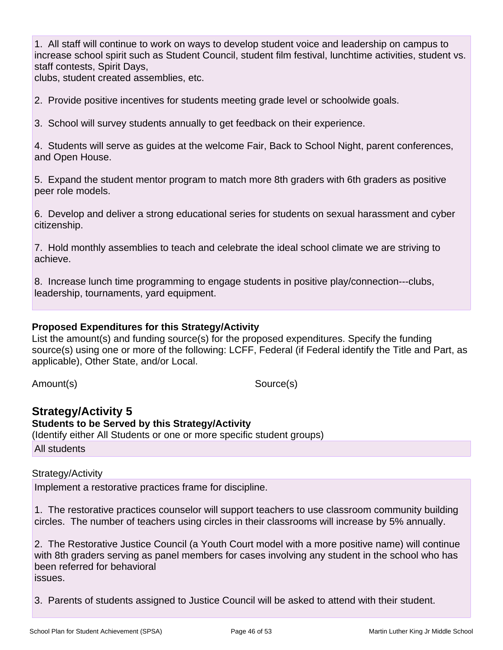1. All staff will continue to work on ways to develop student voice and leadership on campus to increase school spirit such as Student Council, student film festival, lunchtime activities, student vs. staff contests, Spirit Days,

clubs, student created assemblies, etc.

2. Provide positive incentives for students meeting grade level or schoolwide goals.

3. School will survey students annually to get feedback on their experience.

4. Students will serve as guides at the welcome Fair, Back to School Night, parent conferences, and Open House.

5. Expand the student mentor program to match more 8th graders with 6th graders as positive peer role models.

6. Develop and deliver a strong educational series for students on sexual harassment and cyber citizenship.

7. Hold monthly assemblies to teach and celebrate the ideal school climate we are striving to achieve.

8. Increase lunch time programming to engage students in positive play/connection---clubs, leadership, tournaments, yard equipment.

#### **Proposed Expenditures for this Strategy/Activity**

List the amount(s) and funding source(s) for the proposed expenditures. Specify the funding source(s) using one or more of the following: LCFF, Federal (if Federal identify the Title and Part, as applicable), Other State, and/or Local.

Amount(s) Source(s)

### **Strategy/Activity 5**

**Students to be Served by this Strategy/Activity** (Identify either All Students or one or more specific student groups) All students

#### Strategy/Activity

Implement a restorative practices frame for discipline.

1. The restorative practices counselor will support teachers to use classroom community building circles. The number of teachers using circles in their classrooms will increase by 5% annually.

2. The Restorative Justice Council (a Youth Court model with a more positive name) will continue with 8th graders serving as panel members for cases involving any student in the school who has been referred for behavioral issues.

3. Parents of students assigned to Justice Council will be asked to attend with their student.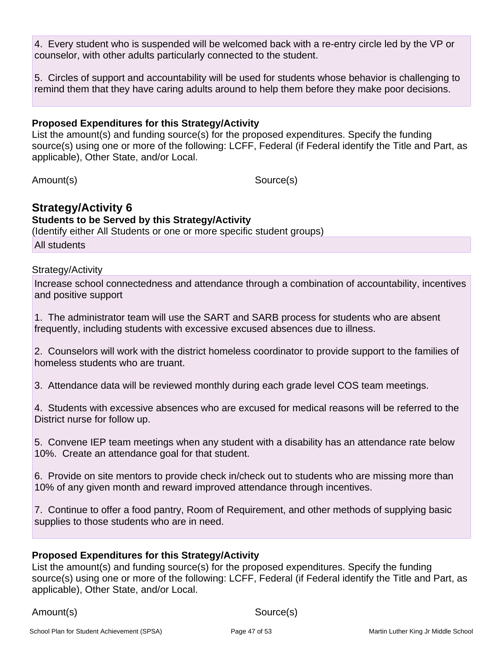4. Every student who is suspended will be welcomed back with a re-entry circle led by the VP or counselor, with other adults particularly connected to the student.

5. Circles of support and accountability will be used for students whose behavior is challenging to remind them that they have caring adults around to help them before they make poor decisions.

#### **Proposed Expenditures for this Strategy/Activity**

List the amount(s) and funding source(s) for the proposed expenditures. Specify the funding source(s) using one or more of the following: LCFF, Federal (if Federal identify the Title and Part, as applicable), Other State, and/or Local.

Amount(s) Source(s)

## **Strategy/Activity 6**

**Students to be Served by this Strategy/Activity**

(Identify either All Students or one or more specific student groups)

All students

#### Strategy/Activity

Increase school connectedness and attendance through a combination of accountability, incentives and positive support

1. The administrator team will use the SART and SARB process for students who are absent frequently, including students with excessive excused absences due to illness.

2. Counselors will work with the district homeless coordinator to provide support to the families of homeless students who are truant.

3. Attendance data will be reviewed monthly during each grade level COS team meetings.

4. Students with excessive absences who are excused for medical reasons will be referred to the District nurse for follow up.

5. Convene IEP team meetings when any student with a disability has an attendance rate below 10%. Create an attendance goal for that student.

6. Provide on site mentors to provide check in/check out to students who are missing more than 10% of any given month and reward improved attendance through incentives.

7. Continue to offer a food pantry, Room of Requirement, and other methods of supplying basic supplies to those students who are in need.

#### **Proposed Expenditures for this Strategy/Activity**

List the amount(s) and funding source(s) for the proposed expenditures. Specify the funding source(s) using one or more of the following: LCFF, Federal (if Federal identify the Title and Part, as applicable), Other State, and/or Local.

Amount(s) Source(s)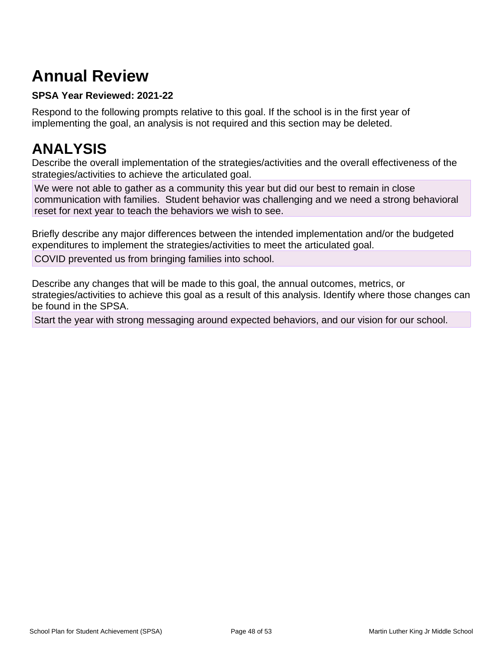## **Annual Review**

### **SPSA Year Reviewed: 2021-22**

Respond to the following prompts relative to this goal. If the school is in the first year of implementing the goal, an analysis is not required and this section may be deleted.

## **ANALYSIS**

Describe the overall implementation of the strategies/activities and the overall effectiveness of the strategies/activities to achieve the articulated goal.

We were not able to gather as a community this year but did our best to remain in close communication with families. Student behavior was challenging and we need a strong behavioral reset for next year to teach the behaviors we wish to see.

Briefly describe any major differences between the intended implementation and/or the budgeted expenditures to implement the strategies/activities to meet the articulated goal.

COVID prevented us from bringing families into school.

Describe any changes that will be made to this goal, the annual outcomes, metrics, or strategies/activities to achieve this goal as a result of this analysis. Identify where those changes can be found in the SPSA.

Start the year with strong messaging around expected behaviors, and our vision for our school.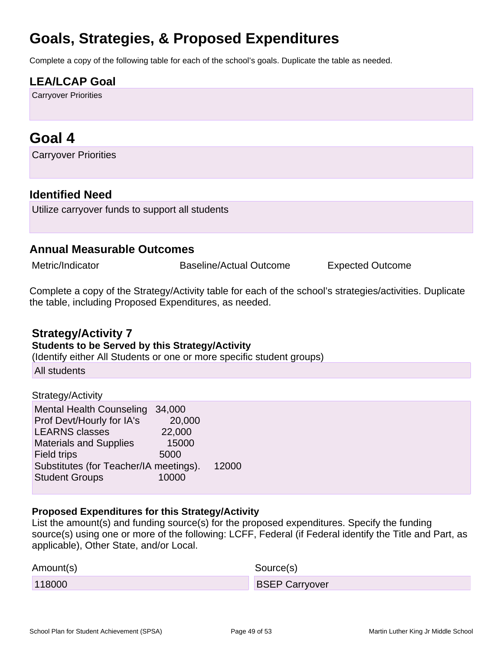## **Goals, Strategies, & Proposed Expenditures**

Complete a copy of the following table for each of the school's goals. Duplicate the table as needed.

## **LEA/LCAP Goal**

Carryover Priorities

## **Goal 4**

Carryover Priorities

### **Identified Need**

Utilize carryover funds to support all students

### **Annual Measurable Outcomes**

Metric/Indicator **Baseline/Actual Outcome** Expected Outcome

Complete a copy of the Strategy/Activity table for each of the school's strategies/activities. Duplicate the table, including Proposed Expenditures, as needed.

### **Strategy/Activity 7**

#### **Students to be Served by this Strategy/Activity**

(Identify either All Students or one or more specific student groups)

All students

#### Strategy/Activity

| <b>Mental Health Counseling</b>        | 34,000 |       |
|----------------------------------------|--------|-------|
| Prof Devt/Hourly for IA's              | 20,000 |       |
| <b>LEARNS classes</b>                  | 22,000 |       |
| <b>Materials and Supplies</b>          | 15000  |       |
| Field trips                            | 5000   |       |
| Substitutes (for Teacher/IA meetings). |        | 12000 |
| <b>Student Groups</b>                  | 10000  |       |
|                                        |        |       |

#### **Proposed Expenditures for this Strategy/Activity**

List the amount(s) and funding source(s) for the proposed expenditures. Specify the funding source(s) using one or more of the following: LCFF, Federal (if Federal identify the Title and Part, as applicable), Other State, and/or Local.

| Amount(s) | Source(s)             |
|-----------|-----------------------|
| 118000    | <b>BSEP Carryover</b> |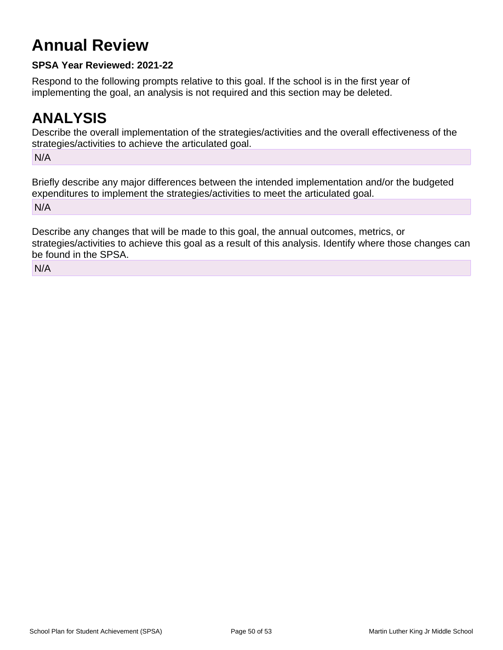## **Annual Review**

### **SPSA Year Reviewed: 2021-22**

Respond to the following prompts relative to this goal. If the school is in the first year of implementing the goal, an analysis is not required and this section may be deleted.

## **ANALYSIS**

Describe the overall implementation of the strategies/activities and the overall effectiveness of the strategies/activities to achieve the articulated goal.

N/A

Briefly describe any major differences between the intended implementation and/or the budgeted expenditures to implement the strategies/activities to meet the articulated goal. N/A

Describe any changes that will be made to this goal, the annual outcomes, metrics, or strategies/activities to achieve this goal as a result of this analysis. Identify where those changes can be found in the SPSA.

N/A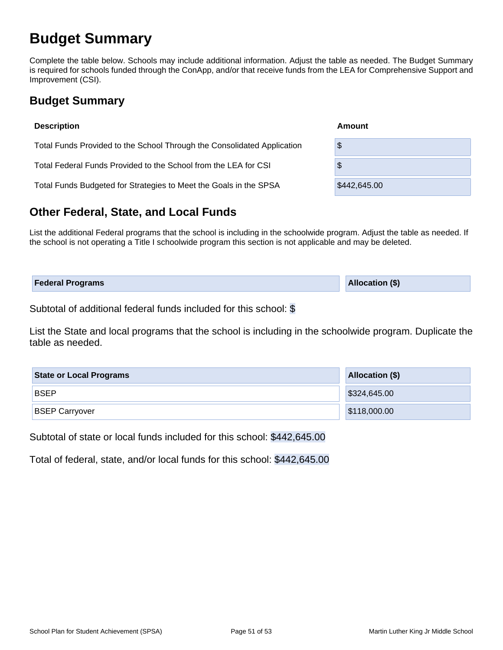## **Budget Summary**

Complete the table below. Schools may include additional information. Adjust the table as needed. The Budget Summary is required for schools funded through the ConApp, and/or that receive funds from the LEA for Comprehensive Support and Improvement (CSI).

## **Budget Summary**

| <b>Description</b>                                                      | Amount       |  |  |  |  |  |
|-------------------------------------------------------------------------|--------------|--|--|--|--|--|
| Total Funds Provided to the School Through the Consolidated Application | \$           |  |  |  |  |  |
| Total Federal Funds Provided to the School from the LEA for CSI         | \$           |  |  |  |  |  |
| Total Funds Budgeted for Strategies to Meet the Goals in the SPSA       | \$442,645.00 |  |  |  |  |  |

## **Other Federal, State, and Local Funds**

List the additional Federal programs that the school is including in the schoolwide program. Adjust the table as needed. If the school is not operating a Title I schoolwide program this section is not applicable and may be deleted.

| <b>Federal Programs</b> | <b>Allocation (\$)</b> |
|-------------------------|------------------------|
|                         |                        |

Subtotal of additional federal funds included for this school: \$

List the State and local programs that the school is including in the schoolwide program. Duplicate the table as needed.

| <b>State or Local Programs</b> | Allocation (\$) |  |  |  |  |  |
|--------------------------------|-----------------|--|--|--|--|--|
| <b>BSEP</b>                    | \$324,645.00    |  |  |  |  |  |
| <b>BSEP Carryover</b>          | \$118,000.00    |  |  |  |  |  |

Subtotal of state or local funds included for this school: \$442,645.00

Total of federal, state, and/or local funds for this school: \$442,645.00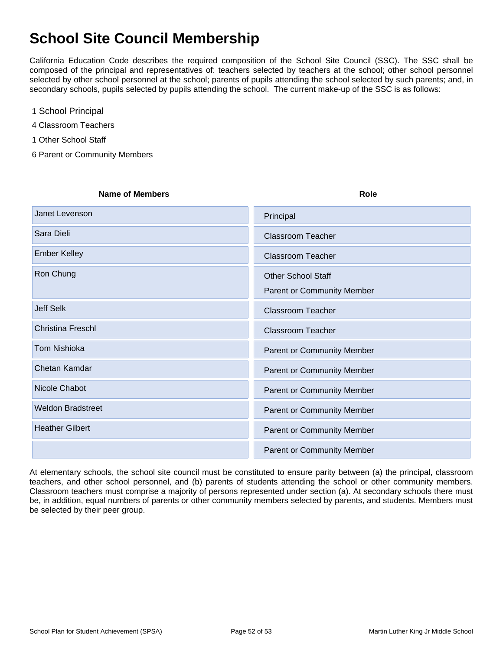## **School Site Council Membership**

California Education Code describes the required composition of the School Site Council (SSC). The SSC shall be composed of the principal and representatives of: teachers selected by teachers at the school; other school personnel selected by other school personnel at the school; parents of pupils attending the school selected by such parents; and, in secondary schools, pupils selected by pupils attending the school. The current make-up of the SSC is as follows:

- 1 School Principal
- 4 Classroom Teachers
- 1 Other School Staff
- 6 Parent or Community Members

| <b>Name of Members</b>   | <b>Role</b>                                             |
|--------------------------|---------------------------------------------------------|
| Janet Levenson           | Principal                                               |
| Sara Dieli               | <b>Classroom Teacher</b>                                |
| <b>Ember Kelley</b>      | <b>Classroom Teacher</b>                                |
| Ron Chung                | <b>Other School Staff</b><br>Parent or Community Member |
| <b>Jeff Selk</b>         | <b>Classroom Teacher</b>                                |
| <b>Christina Freschl</b> | <b>Classroom Teacher</b>                                |
| <b>Tom Nishioka</b>      | Parent or Community Member                              |
| Chetan Kamdar            | <b>Parent or Community Member</b>                       |
| Nicole Chabot            | Parent or Community Member                              |
| <b>Weldon Bradstreet</b> | Parent or Community Member                              |
| <b>Heather Gilbert</b>   | Parent or Community Member                              |
|                          | <b>Parent or Community Member</b>                       |

At elementary schools, the school site council must be constituted to ensure parity between (a) the principal, classroom teachers, and other school personnel, and (b) parents of students attending the school or other community members. Classroom teachers must comprise a majority of persons represented under section (a). At secondary schools there must be, in addition, equal numbers of parents or other community members selected by parents, and students. Members must be selected by their peer group.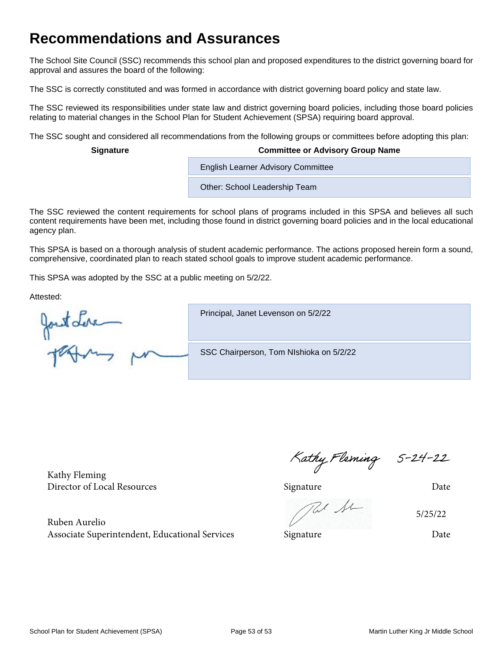## **Recommendations and Assurances**

The School Site Council (SSC) recommends this school plan and proposed expenditures to the district governing board for approval and assures the board of the following:

The SSC is correctly constituted and was formed in accordance with district governing board policy and state law.

The SSC reviewed its responsibilities under state law and district governing board policies, including those board policies relating to material changes in the School Plan for Student Achievement (SPSA) requiring board approval.

The SSC sought and considered all recommendations from the following groups or committees before adopting this plan:

#### **Signature Committee or Advisory Group Name**

**English Learner Advisory Committee** 

Other: School Leadership Team

The SSC reviewed the content requirements for school plans of programs included in this SPSA and believes all such content requirements have been met, including those found in district governing board policies and in the local educational agency plan.

This SPSA is based on a thorough analysis of student academic performance. The actions proposed herein form a sound, comprehensive, coordinated plan to reach stated school goals to improve student academic performance.

This SPSA was adopted by the SSC at a public meeting on 5/2/22.

Attested:

Jont Leve

Principal, Janet Levenson on 5/2/22

SSC Chairperson, Tom NIshioka on 5/2/22

Kathy Fleming

Ruben Aurelio Associate Superintendent, Educational Services Signature Date

Kathy Fleming 5-24-22<br>Director of Local Resources Signature Director of Local Resources

Re Sc

5/25/22